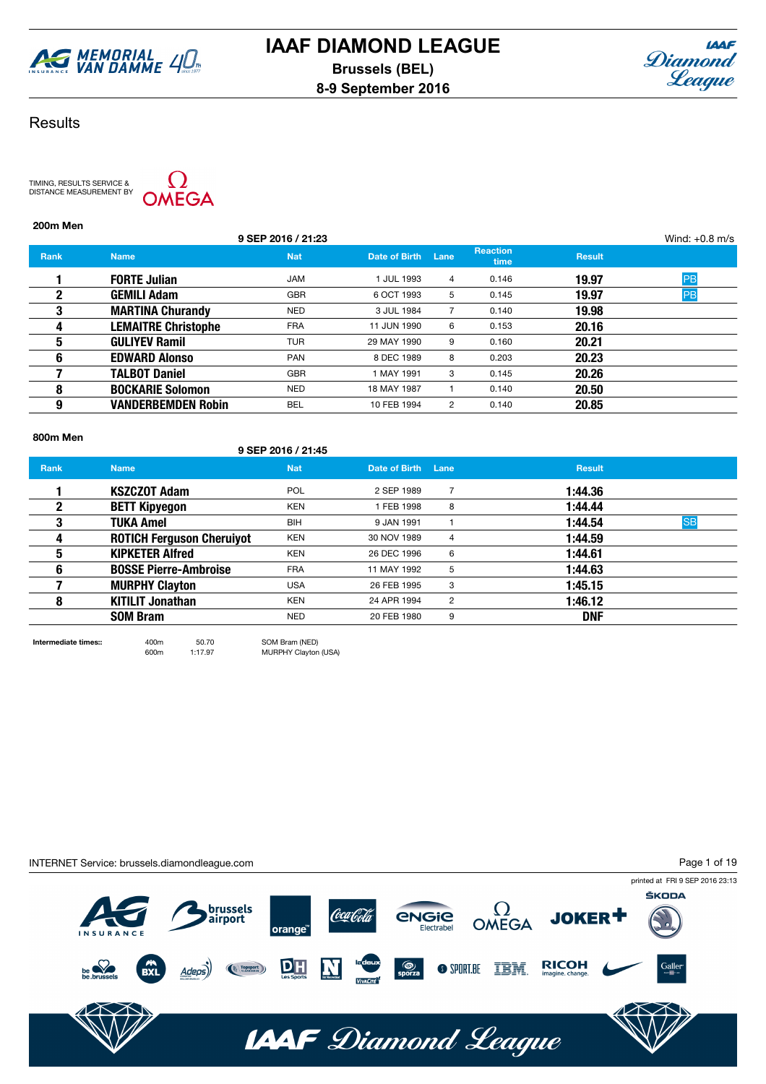



## **Results**

200m Men

TIMING, RESULTS SERVICE & DISTANCE MEASUREMENT BY



### 9 SEP 2016 / 21:23 Wind: +0.8 m/s Rank Name Name Nat Date of Birth Lane Reaction Result 1 **FORTE Julian 1 JAM** 1 JUL 1993 4 0.146 19.97 **2 GEMILI Adam** GBR 6 OCT 1993 5 0.145 <mark>19.97</mark> <mark>PB</mark> **3** MARTINA Churandy MED 3 JUL 1984 7 0.140 19.98 **4 LEMAITRE Christophe** FRA 11 JUN 1990 6 0.153 **20.16 5 GULIYEV Ramil TUR** 29 MAY 1990 9 0.160 **20.21 6 BDWARD Alonso PAN** 8 DEC 1989 8 0.203 **20.23 7 TALBOT Daniel GBR** 1 MAY 1991 3 0.145 **20.26 8 BOCKARIE Solomon** NED 18 MAY 1987 1 0.140 **20.50 9 VANDERBEMDEN Robin** BEL 10 FEB 1994 2 0.140 **20.85**

#### 800m Men

### 9 SEP 2016 / 21:45

| <b>Rank</b>  | <b>Name</b>                      | <b>Nat</b> | Date of Birth Lane |                | <b>Result</b>        |  |
|--------------|----------------------------------|------------|--------------------|----------------|----------------------|--|
|              | <b>KSZCZOT Adam</b>              | <b>POL</b> | 2 SEP 1989         |                | 1:44.36              |  |
| $\mathbf{2}$ | <b>BETT Kipyegon</b>             | <b>KEN</b> | 1 FEB 1998         | 8              | 1:44.44              |  |
| 3            | <b>TUKA Amel</b>                 | <b>BIH</b> | 9 JAN 1991         |                | <b>SB</b><br>1:44.54 |  |
| 4            | <b>ROTICH Ferguson Cheruiyot</b> | <b>KEN</b> | 30 NOV 1989        | 4              | 1:44.59              |  |
| 5            | <b>KIPKETER Alfred</b>           | <b>KEN</b> | 26 DEC 1996        | 6              | 1:44.61              |  |
| 6            | <b>BOSSE Pierre-Ambroise</b>     | <b>FRA</b> | 11 MAY 1992        | 5              | 1:44.63              |  |
|              | <b>MURPHY Clayton</b>            | <b>USA</b> | 26 FEB 1995        | 3              | 1:45.15              |  |
| 8            | <b>KITILIT Jonathan</b>          | <b>KEN</b> | 24 APR 1994        | $\overline{2}$ | 1:46.12              |  |
|              | <b>SOM Bram</b>                  | <b>NED</b> | 20 FEB 1980        | 9              | <b>DNF</b>           |  |
|              |                                  |            |                    |                |                      |  |

Intermediate times:: 400m 50.70 SOM Bram (NED)

600m 1:17.97 MURPHY Clayton (USA)

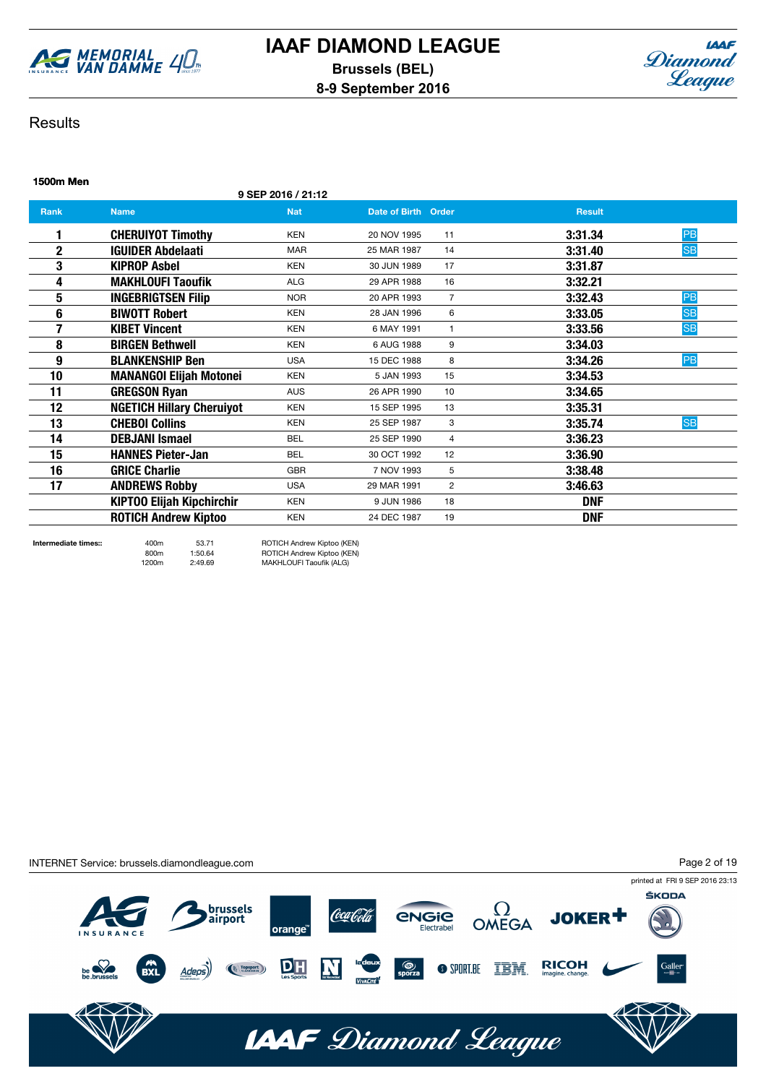



### **Results**

| <b>1500m Men</b> |                                  |                    |                     |                       |               |           |
|------------------|----------------------------------|--------------------|---------------------|-----------------------|---------------|-----------|
|                  |                                  | 9 SEP 2016 / 21:12 |                     |                       |               |           |
| <b>Rank</b>      | <b>Name</b>                      | <b>Nat</b>         | Date of Birth Order |                       | <b>Result</b> |           |
|                  | <b>CHERUIYOT Timothy</b>         | <b>KEN</b>         | 20 NOV 1995         | 11                    | 3:31.34       | PB        |
| $\mathbf 2$      | <b>IGUIDER Abdelaati</b>         | <b>MAR</b>         | 25 MAR 1987         | 14                    | 3:31.40       | <b>SB</b> |
| 3                | <b>KIPROP Asbel</b>              | <b>KEN</b>         | 30 JUN 1989         | 17                    | 3:31.87       |           |
| 4                | <b>MAKHLOUFI Taoufik</b>         | <b>ALG</b>         | 29 APR 1988         | 16                    | 3:32.21       |           |
| 5                | <b>INGEBRIGTSEN Filip</b>        | <b>NOR</b>         | 20 APR 1993         | $\overline{7}$        | 3:32.43       | PB        |
| 6                | <b>BIWOTT Robert</b>             | <b>KEN</b>         | 28 JAN 1996         | 6                     | 3:33.05       | <b>SB</b> |
|                  | <b>KIBET Vincent</b>             | <b>KEN</b>         | 6 MAY 1991          | 1                     | 3:33.56       | <b>SB</b> |
| 8                | <b>BIRGEN Bethwell</b>           | <b>KEN</b>         | 6 AUG 1988          | 9                     | 3:34.03       |           |
| 9                | <b>BLANKENSHIP Ben</b>           | <b>USA</b>         | 15 DEC 1988         | 8                     | 3:34.26       | PB        |
| 10               | <b>MANANGOI Elijah Motonei</b>   | <b>KEN</b>         | 5 JAN 1993          | 15                    | 3:34.53       |           |
| 11               | <b>GREGSON Ryan</b>              | <b>AUS</b>         | 26 APR 1990         | 10                    | 3:34.65       |           |
| 12               | <b>NGETICH Hillary Cheruiyot</b> | <b>KEN</b>         | 15 SEP 1995         | 13                    | 3:35.31       |           |
| 13               | <b>CHEBOI Collins</b>            | <b>KEN</b>         | 25 SEP 1987         | 3                     | 3:35.74       | <b>SB</b> |
| 14               | <b>DEBJANI Ismael</b>            | <b>BEL</b>         | 25 SEP 1990         | $\overline{4}$        | 3:36.23       |           |
| 15               | <b>HANNES Pieter-Jan</b>         | <b>BEL</b>         | 30 OCT 1992         | 12                    | 3:36.90       |           |
| 16               | <b>GRICE Charlie</b>             | <b>GBR</b>         | 7 NOV 1993          | 5                     | 3:38.48       |           |
| 17               | <b>ANDREWS Robby</b>             | <b>USA</b>         | 29 MAR 1991         | $\mathbf{2}^{\prime}$ | 3:46.63       |           |
|                  | <b>KIPTOO Elijah Kipchirchir</b> | <b>KEN</b>         | 9 JUN 1986          | 18                    | <b>DNF</b>    |           |
|                  | <b>ROTICH Andrew Kiptoo</b>      | <b>KEN</b>         | 24 DEC 1987         | 19                    | <b>DNF</b>    |           |

Intermediate times:: 400m 53.71 ROTICH Andrew Kiptoo (KEN) 800m 1:50.64 ROTICH Andrew Kiptoo (KEN)<br>1200m 2:49.69 MAKHLOUFI Taoufik (ALG) MAKHLOUFI Taoufik (ALG)

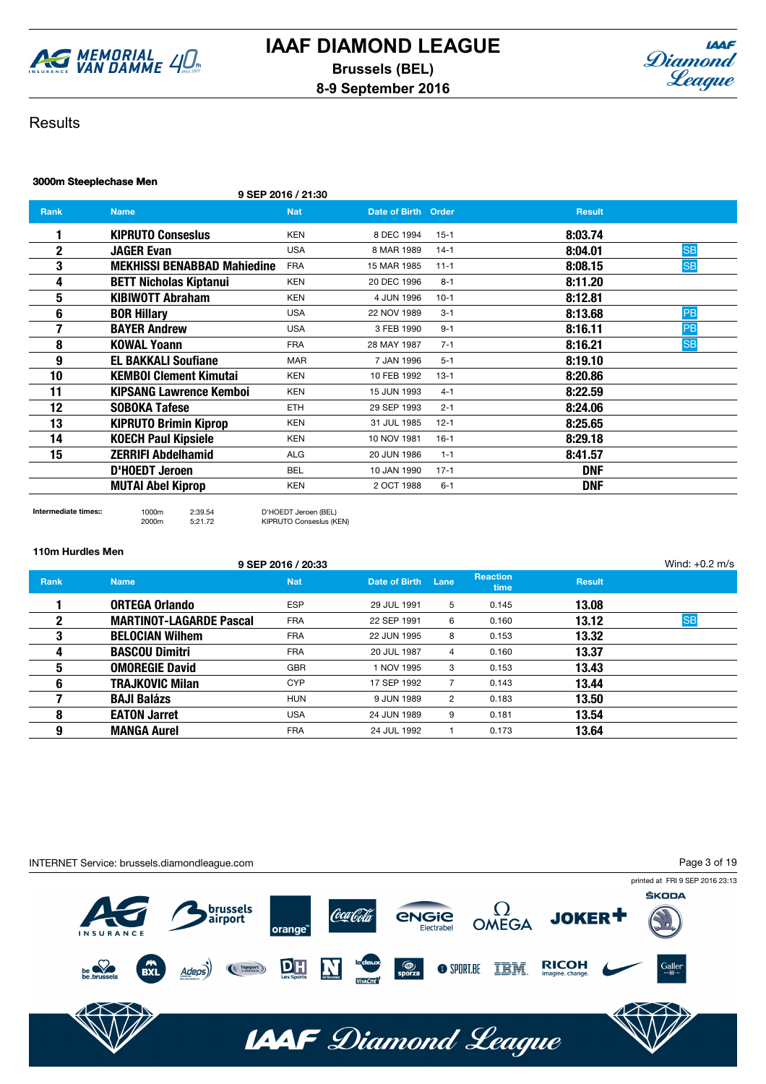



### **Results**

#### 3000m Steeplechase Men

9 SEP 2016 / 21:30

| <b>Rank</b> | <b>Name</b>                        | <b>Nat</b> | Date of Birth Order |          | <b>Result</b>        |
|-------------|------------------------------------|------------|---------------------|----------|----------------------|
|             | <b>KIPRUTO Conseslus</b>           | <b>KEN</b> | 8 DEC 1994          | $15-1$   | 8:03.74              |
| $\mathbf 2$ | <b>JAGER Evan</b>                  | <b>USA</b> | 8 MAR 1989          | $14-1$   | <b>SB</b><br>8:04.01 |
| 3           | <b>MEKHISSI BENABBAD Mahiedine</b> | <b>FRA</b> | 15 MAR 1985         | $11 - 1$ | <b>SB</b><br>8:08.15 |
| 4           | <b>BETT Nicholas Kiptanui</b>      | <b>KEN</b> | 20 DEC 1996         | $8 - 1$  | 8:11.20              |
| 5           | <b>KIBIWOTT Abraham</b>            | <b>KEN</b> | 4 JUN 1996          | $10-1$   | 8:12.81              |
| 6           | <b>BOR Hillary</b>                 | <b>USA</b> | 22 NOV 1989         | $3 - 1$  | PB<br>8:13.68        |
|             | <b>BAYER Andrew</b>                | <b>USA</b> | 3 FEB 1990          | $9 - 1$  | PB<br>8:16.11        |
| 8           | <b>KOWAL Yoann</b>                 | <b>FRA</b> | 28 MAY 1987         | $7 - 1$  | <b>SB</b><br>8:16.21 |
| 9           | <b>EL BAKKALI Soufiane</b>         | <b>MAR</b> | 7 JAN 1996          | $5 - 1$  | 8:19.10              |
| 10          | <b>KEMBOI Clement Kimutai</b>      | <b>KEN</b> | 10 FEB 1992         | $13 - 1$ | 8:20.86              |
| 11          | KIPSANG Lawrence Kemboi            | <b>KEN</b> | 15 JUN 1993         | $4 - 1$  | 8:22.59              |
| 12          | <b>SOBOKA Tafese</b>               | <b>ETH</b> | 29 SEP 1993         | $2 - 1$  | 8:24.06              |
| 13          | <b>KIPRUTO Brimin Kiprop</b>       | <b>KEN</b> | 31 JUL 1985         | $12 - 1$ | 8:25.65              |
| 14          | <b>KOECH Paul Kipsiele</b>         | <b>KEN</b> | 10 NOV 1981         | $16-1$   | 8:29.18              |
| 15          | <b>ZERRIFI Abdelhamid</b>          | <b>ALG</b> | 20 JUN 1986         | $1 - 1$  | 8:41.57              |
|             | D'HOEDT Jeroen                     | <b>BEL</b> | 10 JAN 1990         | $17-1$   | <b>DNF</b>           |
|             | <b>MUTAI Abel Kiprop</b>           | <b>KEN</b> | 2 OCT 1988          | $6 - 1$  | <b>DNF</b>           |

Intermediate times:: 1000m 2:39.54 D'HOEDT Jeroen (BEL) 2000m 5:21.72 KIPRUTO Conseslus (KEN)

### 110m Hurdles Men

|      |                                | 9 SEP 2016 / 20:33 |               |                |                         |               | Wind: $+0.2$ m/s |
|------|--------------------------------|--------------------|---------------|----------------|-------------------------|---------------|------------------|
| Rank | <b>Name</b>                    | <b>Nat</b>         | Date of Birth | Lane           | <b>Reaction</b><br>time | <b>Result</b> |                  |
|      | <b>ORTEGA Orlando</b>          | <b>ESP</b>         | 29 JUL 1991   | 5              | 0.145                   | 13.08         |                  |
| 2    | <b>MARTINOT-LAGARDE Pascal</b> | <b>FRA</b>         | 22 SEP 1991   | 6              | 0.160                   | 13.12         | <b>SB</b>        |
| 3    | <b>BELOCIAN Wilhem</b>         | <b>FRA</b>         | 22 JUN 1995   | 8              | 0.153                   | 13.32         |                  |
| 4    | <b>BASCOU Dimitri</b>          | <b>FRA</b>         | 20 JUL 1987   | 4              | 0.160                   | 13.37         |                  |
| 5    | <b>OMOREGIE David</b>          | <b>GBR</b>         | 1 NOV 1995    | 3              | 0.153                   | 13.43         |                  |
| 6    | <b>TRAJKOVIC Milan</b>         | <b>CYP</b>         | 17 SEP 1992   |                | 0.143                   | 13.44         |                  |
|      | <b>BAJI Balázs</b>             | <b>HUN</b>         | 9 JUN 1989    | $\overline{2}$ | 0.183                   | 13.50         |                  |
| 8    | <b>EATON Jarret</b>            | <b>USA</b>         | 24 JUN 1989   | 9              | 0.181                   | 13.54         |                  |
| 9    | <b>MANGA Aurel</b>             | <b>FRA</b>         | 24 JUL 1992   |                | 0.173                   | 13.64         |                  |

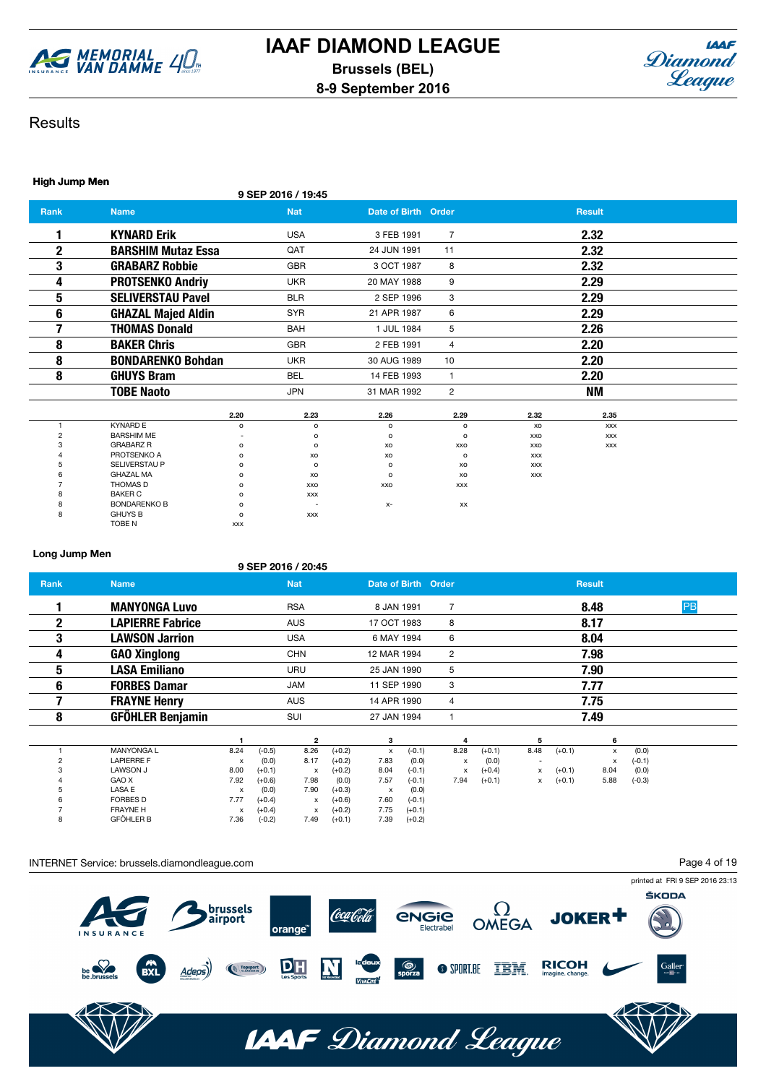



## **Results**

### High Jump Men

9 SEP 2016 / 19:45

| <b>Rank</b>    | <b>Name</b>               |         | <b>Nat</b> | Date of Birth Order |                |      | <b>Result</b> |  |
|----------------|---------------------------|---------|------------|---------------------|----------------|------|---------------|--|
|                | <b>KYNARD Erik</b>        |         | <b>USA</b> | 3 FEB 1991          | $\overline{7}$ |      | 2.32          |  |
| 2              | <b>BARSHIM Mutaz Essa</b> |         | QAT        | 24 JUN 1991         | 11             |      | 2.32          |  |
| 3              | <b>GRABARZ Robbie</b>     |         | <b>GBR</b> | 3 OCT 1987          | 8              |      | 2.32          |  |
| 4              | <b>PROTSENKO Andriy</b>   |         | <b>UKR</b> | 20 MAY 1988         | 9              |      | 2.29          |  |
| 5              | <b>SELIVERSTAU Pavel</b>  |         | <b>BLR</b> | 2 SEP 1996          | 3              |      | 2.29          |  |
| 6              | <b>GHAZAL Majed Aldin</b> |         | <b>SYR</b> | 21 APR 1987         | 6              |      | 2.29          |  |
|                | <b>THOMAS Donald</b>      |         | <b>BAH</b> | 1 JUL 1984          | 5              |      | 2.26          |  |
| 8              | <b>BAKER Chris</b>        |         | <b>GBR</b> | 2 FEB 1991          | 4              |      | 2.20          |  |
| 8              | <b>BONDARENKO Bohdan</b>  |         | <b>UKR</b> | 30 AUG 1989         | 10             |      | 2.20          |  |
| 8              | <b>GHUYS Bram</b>         |         | <b>BEL</b> | 14 FEB 1993         |                |      | 2.20          |  |
|                | <b>TOBE Naoto</b>         |         | <b>JPN</b> | 31 MAR 1992         | 2              |      | <b>NM</b>     |  |
|                |                           | 2.20    | 2.23       | 2.26                | 2.29           | 2.32 | 2.35          |  |
|                | <b>KYNARD E</b>           | $\circ$ | o          | $\mathsf{o}$        | o              | XO   | <b>XXX</b>    |  |
| $\overline{c}$ | <b>BARSHIM ME</b>         | ۰       | o          | $\mathsf{o}$        | o              | XXO  | <b>XXX</b>    |  |

|     | KYNARD E            | $\circ$        | O                        | o       |            | xo         | XXX        |
|-----|---------------------|----------------|--------------------------|---------|------------|------------|------------|
|     | <b>BARSHIM ME</b>   | $\overline{a}$ | $\circ$                  | $\circ$ | o          | XXO        | <b>XXX</b> |
| -37 | <b>GRABARZ R</b>    | $\circ$        | $\circ$                  | XO      | XXO        | XXO        | <b>XXX</b> |
|     | PROTSENKO A         | $\circ$        | XO                       | XO      | o          | <b>XXX</b> |            |
|     | SELIVERSTAU P       | $\circ$        | $\circ$                  | $\circ$ | XO         | <b>XXX</b> |            |
| h   | <b>GHAZAL MA</b>    | o              | XO                       | $\circ$ | XO         | <b>XXX</b> |            |
|     | THOMAS D            | $\circ$        | XXO                      | XXO     | <b>XXX</b> |            |            |
|     | <b>BAKER C</b>      | $\circ$        | <b>XXX</b>               |         |            |            |            |
| o   | <b>BONDARENKO B</b> | $\circ$        | $\overline{\phantom{0}}$ | $X-$    | <b>XX</b>  |            |            |
| о   | <b>GHUYS B</b>      | o              | XXX                      |         |            |            |            |
|     | TOBE N              | <b>XXX</b>     |                          |         |            |            |            |
|     |                     |                |                          |         |            |            |            |

#### Long Jump Men

9 SEP 2016 / 20:45

| <b>Rank</b>  | <b>Name</b>             |              |          | <b>Nat</b> |          | Date of Birth Order |          |                |          |      |          | <b>Result</b> |          |    |
|--------------|-------------------------|--------------|----------|------------|----------|---------------------|----------|----------------|----------|------|----------|---------------|----------|----|
|              | <b>MANYONGA Luvo</b>    |              |          | <b>RSA</b> |          | 8 JAN 1991          |          | $\overline{7}$ |          |      |          | 8.48          |          | PB |
| $\mathbf{2}$ | <b>LAPIERRE Fabrice</b> |              |          | <b>AUS</b> |          | 17 OCT 1983         |          | 8              |          |      |          | 8.17          |          |    |
| 3            | <b>LAWSON Jarrion</b>   |              |          | USA        |          | 6 MAY 1994          |          | 6              |          |      |          | 8.04          |          |    |
| 4            | <b>GAO Xinglong</b>     |              |          | <b>CHN</b> |          | 12 MAR 1994         |          | 2              |          |      |          | 7.98          |          |    |
| 5            | <b>LASA Emiliano</b>    |              |          | <b>URU</b> |          | 25 JAN 1990         |          | 5              |          |      |          | 7.90          |          |    |
| 6            | <b>FORBES Damar</b>     |              |          | <b>JAM</b> |          | 11 SEP 1990         |          | 3              |          |      |          | 7.77          |          |    |
|              | <b>FRAYNE Henry</b>     |              |          | <b>AUS</b> |          | 14 APR 1990         |          | 4              |          |      |          | 7.75          |          |    |
| 8            | <b>GFÖHLER Benjamin</b> |              |          | SUI        |          | 27 JAN 1994         |          |                |          |      |          | 7.49          |          |    |
|              |                         |              |          | 2          |          | 3                   |          | 4              |          | 5    |          | 6             |          |    |
|              | <b>MANYONGA L</b>       | 8.24         | $(-0.5)$ | 8.26       | $(+0.2)$ | x                   | $(-0.1)$ | 8.28           | $(+0.1)$ | 8.48 | $(+0.1)$ | x             | (0.0)    |    |
|              | <b>LAPIERRE F</b>       | $\mathsf{x}$ | (0.0)    | 8.17       | $(+0.2)$ | 7.83                | (0.0)    | x              | (0.0)    |      |          | x             | $(-0.1)$ |    |
|              | <b>LAWSON J</b>         | 8.00         | $(+0.1)$ | x          | $(+0.2)$ | 8.04                | $(-0.1)$ | X              | $(+0.4)$ | x    | $(+0.1)$ | 8.04          | (0.0)    |    |
|              | GAO X                   | 7.92         | $(+0.6)$ | 7.98       | (0.0)    | 7.57                | $(-0.1)$ | 7.94           | $(+0.1)$ | x    | $(+0.1)$ | 5.88          | $(-0.3)$ |    |
|              | LASA E                  | х            | (0.0)    | 7.90       | $(+0.3)$ | х                   | (0.0)    |                |          |      |          |               |          |    |
|              | <b>FORBES D</b>         | 7.77         | $(+0.4)$ | x          | $(+0.6)$ | 7.60                | $(-0.1)$ |                |          |      |          |               |          |    |
|              | <b>FRAYNE H</b>         | x            | $(+0.4)$ | x          | $(+0.2)$ | 7.75                | $(+0.1)$ |                |          |      |          |               |          |    |
|              | <b>GFÖHLER B</b>        | 7.36         | $(-0.2)$ | 7.49       | $(+0.1)$ | 7.39                | $(+0.2)$ |                |          |      |          |               |          |    |

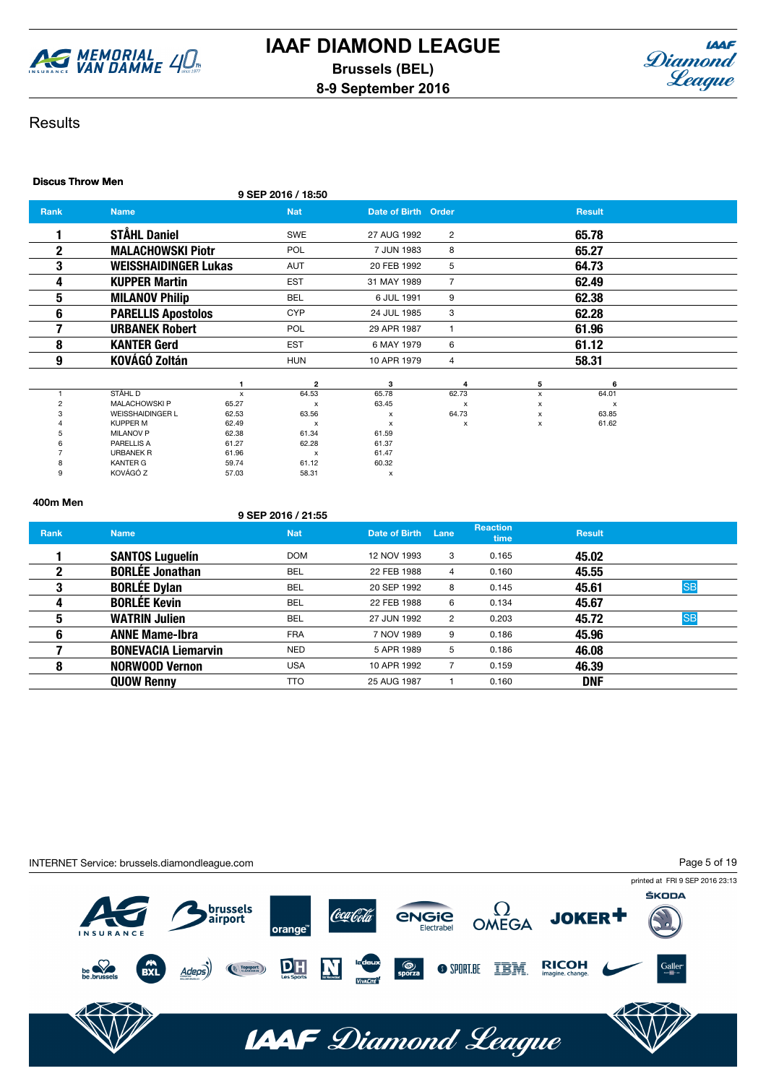



### **Results**

### Discus Throw Men

9 SEP 2016 / 18:50

| Rank        | <b>Name</b>                 |              | <b>Nat</b>                | Date of Birth Order |                |   | <b>Result</b> |  |
|-------------|-----------------------------|--------------|---------------------------|---------------------|----------------|---|---------------|--|
|             | <b>STÅHL Daniel</b>         |              | <b>SWE</b>                | 27 AUG 1992         | $\overline{2}$ |   | 65.78         |  |
| $\mathbf 2$ | <b>MALACHOWSKI Piotr</b>    |              | POL                       | 7 JUN 1983          | 8              |   | 65.27         |  |
| 3           | <b>WEISSHAIDINGER Lukas</b> |              | <b>AUT</b>                | 20 FEB 1992         | 5              |   | 64.73         |  |
| 4           | <b>KUPPER Martin</b>        |              | <b>EST</b>                | 31 MAY 1989         | $\overline{7}$ |   | 62.49         |  |
| 5           | <b>MILANOV Philip</b>       |              | <b>BEL</b>                | 6 JUL 1991          | 9              |   | 62.38         |  |
| 6           | <b>PARELLIS Apostolos</b>   |              | <b>CYP</b>                | 24 JUL 1985         | 3              |   | 62.28         |  |
| 7           | <b>URBANEK Robert</b>       |              | <b>POL</b>                | 29 APR 1987         |                |   | 61.96         |  |
| 8           | <b>KANTER Gerd</b>          |              | <b>EST</b>                | 6 MAY 1979          | 6              |   | 61.12         |  |
| 9           | <b>KOVÁGÓ Zoltán</b>        |              | <b>HUN</b>                | 10 APR 1979         | 4              |   | 58.31         |  |
|             |                             |              | $\overline{2}$            | 3                   | 4              | 5 | 6             |  |
|             | STÅHL D                     | $\mathsf{x}$ | 64.53                     | 65.78               | 62.73          | X | 64.01         |  |
|             | <b>MALACHOWSKIP</b>         | 65.27        | $\boldsymbol{\mathsf{x}}$ | 63.45               | x              | x | x             |  |
|             | <b>WEISSHAIDINGER L</b>     | 62.53        | 63.56                     | х                   | 64.73          | х | 63.85         |  |
|             | <b>KUPPER M</b>             | 62.49        | $\mathsf{x}$              | х                   | x              | х | 61.62         |  |
|             | <b>MILANOV P</b>            | 62.38        | 61.34                     | 61.59               |                |   |               |  |
|             | <b>PARELLIS A</b>           | 61.27        | 62.28                     | 61.37               |                |   |               |  |
|             | <b>URBANEK R</b>            | 61.96        | x                         | 61.47               |                |   |               |  |
|             | <b>KANTER G</b>             | 59.74        | 61.12                     | 60.32               |                |   |               |  |
| 9           | KOVÁGÓ Z                    | 57.03        | 58.31                     | x                   |                |   |               |  |

#### 400m Men

#### 9 SEP 2016 / 21:55

| <b>Rank</b> | <b>Name</b>                | <b>Nat</b> | Date of Birth | Lane | <b>Reaction</b><br><b>time</b> | <b>Result</b> |           |
|-------------|----------------------------|------------|---------------|------|--------------------------------|---------------|-----------|
|             | <b>SANTOS Luguelín</b>     | <b>DOM</b> | 12 NOV 1993   | 3    | 0.165                          | 45.02         |           |
| 2           | <b>BORLÉE Jonathan</b>     | <b>BEL</b> | 22 FEB 1988   | 4    | 0.160                          | 45.55         |           |
| 3           | <b>BORLÉE Dylan</b>        | BEL        | 20 SEP 1992   | 8    | 0.145                          | 45.61         | <b>SB</b> |
| 4           | <b>BORLÉE Kevin</b>        | <b>BEL</b> | 22 FEB 1988   | 6    | 0.134                          | 45.67         |           |
| 5           | <b>WATRIN Julien</b>       | <b>BEL</b> | 27 JUN 1992   | 2    | 0.203                          | 45.72         | <b>SB</b> |
| 6           | <b>ANNE Mame-Ibra</b>      | <b>FRA</b> | 7 NOV 1989    | 9    | 0.186                          | 45.96         |           |
|             | <b>BONEVACIA Liemarvin</b> | <b>NED</b> | 5 APR 1989    | 5    | 0.186                          | 46.08         |           |
| 8           | <b>NORWOOD Vernon</b>      | <b>USA</b> | 10 APR 1992   |      | 0.159                          | 46.39         |           |
|             | <b>QUOW Renny</b>          | TTO        | 25 AUG 1987   |      | 0.160                          | <b>DNF</b>    |           |

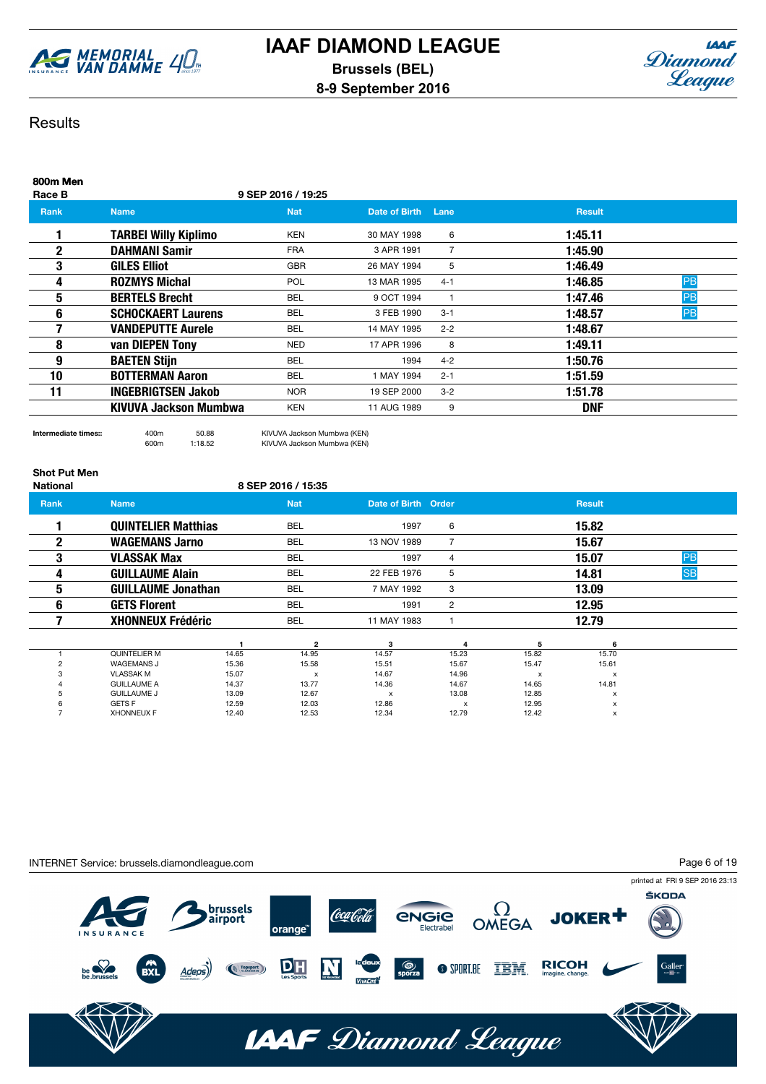



## **Results**

| 800m Men<br>Race B |                             | 9 SEP 2016 / 19:25 |               |         |               |           |
|--------------------|-----------------------------|--------------------|---------------|---------|---------------|-----------|
| <b>Rank</b>        | <b>Name</b>                 | <b>Nat</b>         | Date of Birth | Lane    | <b>Result</b> |           |
|                    | <b>TARBEI Willy Kiplimo</b> | <b>KEN</b>         | 30 MAY 1998   | 6       | 1:45.11       |           |
| $\mathbf 2$        | <b>DAHMANI Samir</b>        | <b>FRA</b>         | 3 APR 1991    |         | 1:45.90       |           |
| 3                  | <b>GILES Elliot</b>         | <b>GBR</b>         | 26 MAY 1994   | 5       | 1:46.49       |           |
| 4                  | <b>ROZMYS Michal</b>        | <b>POL</b>         | 13 MAR 1995   | $4 - 1$ | 1:46.85       | PB        |
| 5                  | <b>BERTELS Brecht</b>       | BEL                | 9 OCT 1994    |         | 1:47.46       | <b>PB</b> |
| 6                  | <b>SCHOCKAERT Laurens</b>   | <b>BEL</b>         | 3 FEB 1990    | $3 - 1$ | 1:48.57       | <b>PB</b> |
|                    | <b>VANDEPUTTE Aurele</b>    | <b>BEL</b>         | 14 MAY 1995   | $2 - 2$ | 1:48.67       |           |
| 8                  | van DIEPEN Tony             | <b>NED</b>         | 17 APR 1996   | 8       | 1:49.11       |           |
| 9                  | <b>BAETEN Stijn</b>         | BEL                | 1994          | $4 - 2$ | 1:50.76       |           |
| 10                 | <b>BOTTERMAN Aaron</b>      | <b>BEL</b>         | 1 MAY 1994    | $2 - 1$ | 1:51.59       |           |
| 11                 | <b>INGEBRIGTSEN Jakob</b>   | <b>NOR</b>         | 19 SEP 2000   | $3 - 2$ | 1:51.78       |           |
|                    | KIVUVA Jackson Mumbwa       | <b>KEN</b>         | 11 AUG 1989   | 9       | <b>DNF</b>    |           |
|                    |                             |                    |               |         |               |           |

Shot Put Men

Intermediate times::  $400m$  50.88 KIVUVA Jackson Mumbwa (KEN)<br>600m 1:18.52 KIVUVA Jackson Mumbwa (KEN) KIVUVA Jackson Mumbwa (KEN)

| <b>National</b> |                            |       | 8 SEP 2016 / 15:35 |                           |                           |       |               |           |
|-----------------|----------------------------|-------|--------------------|---------------------------|---------------------------|-------|---------------|-----------|
| <b>Rank</b>     | <b>Name</b>                |       | <b>Nat</b>         | Date of Birth Order       |                           |       | <b>Result</b> |           |
|                 | <b>QUINTELIER Matthias</b> |       | <b>BEL</b>         | 1997                      | 6                         |       | 15.82         |           |
| 2               | <b>WAGEMANS Jarno</b>      |       | <b>BEL</b>         | 13 NOV 1989               | $\overline{7}$            |       | 15.67         |           |
| 3               | <b>VLASSAK Max</b>         |       | BEL                | 1997                      | 4                         |       | 15.07         | PB        |
| 4               | <b>GUILLAUME Alain</b>     |       | BEL                | 22 FEB 1976               | 5                         |       | 14.81         | <b>SB</b> |
| 5               | <b>GUILLAUME Jonathan</b>  |       | BEL                | 7 MAY 1992                | 3                         |       | 13.09         |           |
| 6               | <b>GETS Florent</b>        |       | BEL                | 1991                      | $\overline{2}$            |       | 12.95         |           |
|                 | <b>XHONNEUX Frédéric</b>   |       | BEL                | 11 MAY 1983               |                           |       | 12.79         |           |
|                 |                            |       | $\overline{2}$     | 3                         |                           | 5     | 6             |           |
|                 | QUINTELIER M               | 14.65 | 14.95              | 14.57                     | 15.23                     | 15.82 | 15.70         |           |
|                 | <b>WAGEMANS J</b>          | 15.36 | 15.58              | 15.51                     | 15.67                     | 15.47 | 15.61         |           |
| 3               | <b>VLASSAK M</b>           | 15.07 | X                  | 14.67                     | 14.96                     | X     | X             |           |
|                 | <b>GUILLAUME A</b>         | 14.37 | 13.77              | 14.36                     | 14.67                     | 14.65 | 14.81         |           |
|                 | <b>GUILLAUME J</b>         | 13.09 | 12.67              | $\boldsymbol{\mathsf{x}}$ | 13.08                     | 12.85 | х             |           |
| ่ค              | <b>GETS F</b>              | 12.59 | 12.03              | 12.86                     | $\boldsymbol{\mathsf{x}}$ | 12.95 | x             |           |
|                 | <b>XHONNEUX F</b>          | 12.40 | 12.53              | 12.34                     | 12.79                     | 12.42 | x             |           |

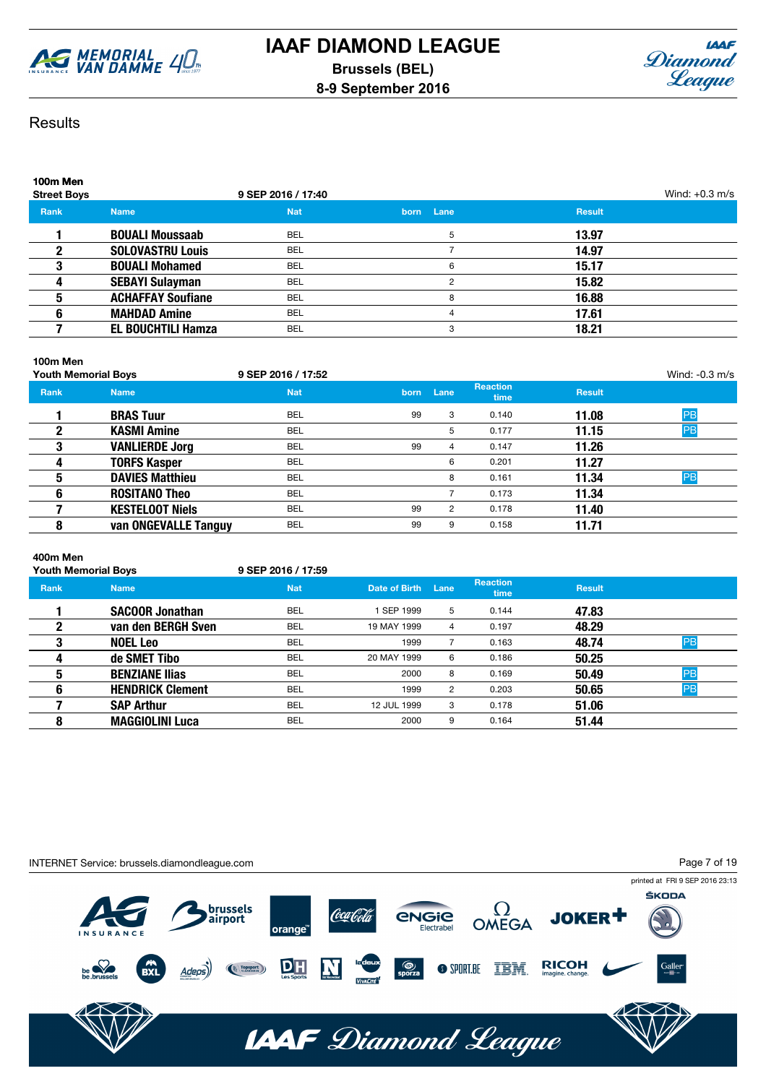



## **Results**

| 100m Men<br><b>Street Boys</b> |                           | 9 SEP 2016 / 17:40 |           |               | Wind: $+0.3$ m/s |
|--------------------------------|---------------------------|--------------------|-----------|---------------|------------------|
| Rank                           | <b>Name</b>               | <b>Nat</b>         | born Lane | <b>Result</b> |                  |
|                                | <b>BOUALI Moussaab</b>    | <b>BEL</b>         | 5         | 13.97         |                  |
|                                | <b>SOLOVASTRU Louis</b>   | <b>BEL</b>         |           | 14.97         |                  |
|                                | <b>BOUALI Mohamed</b>     | <b>BEL</b>         | 6         | 15.17         |                  |
|                                | <b>SEBAYI Sulayman</b>    | <b>BEL</b>         | 2         | 15.82         |                  |
| 5                              | <b>ACHAFFAY Soufiane</b>  | <b>BEL</b>         | 8         | 16.88         |                  |
| 6                              | <b>MAHDAD Amine</b>       | BEL                |           | 17.61         |                  |
|                                | <b>EL BOUCHTILI Hamza</b> | <b>BEL</b>         | 3         | 18.21         |                  |

| 100m Men<br><b>Youth Memorial Boys</b> |                        | 9 SEP 2016 / 17:52 |      |                |                         |               | Wind: -0.3 m/s |
|----------------------------------------|------------------------|--------------------|------|----------------|-------------------------|---------------|----------------|
| <b>Rank</b>                            | <b>Name</b>            | <b>Nat</b>         | born | Lane           | <b>Reaction</b><br>time | <b>Result</b> |                |
|                                        | <b>BRAS Tuur</b>       | BEL                | 99   | 3              | 0.140                   | 11.08         | PB             |
| 2                                      | <b>KASMI Amine</b>     | BEL                |      | 5              | 0.177                   | 11.15         | <b>PB</b>      |
| 3                                      | <b>VANLIERDE Jorg</b>  | <b>BEL</b>         | 99   | 4              | 0.147                   | 11.26         |                |
|                                        | <b>TORFS Kasper</b>    | <b>BEL</b>         |      | 6              | 0.201                   | 11.27         |                |
| 5                                      | <b>DAVIES Matthieu</b> | <b>BEL</b>         |      | 8              | 0.161                   | 11.34         | <b>PB</b>      |
| 6                                      | <b>ROSITANO Theo</b>   | <b>BEL</b>         |      |                | 0.173                   | 11.34         |                |
|                                        | <b>KESTELOOT Niels</b> | <b>BEL</b>         | 99   | $\overline{2}$ | 0.178                   | 11.40         |                |
| 8                                      | van ONGEVALLE Tanguy   | BEL                | 99   | 9              | 0.158                   | 11.71         |                |

### 400m Men

| <b>Youth Memorial Boys</b> |                         | 9 SEP 2016 / 17:59 |               |      |                         |               |    |
|----------------------------|-------------------------|--------------------|---------------|------|-------------------------|---------------|----|
| <b>Rank</b>                | <b>Name</b>             | <b>Nat</b>         | Date of Birth | Lane | <b>Reaction</b><br>time | <b>Result</b> |    |
|                            | <b>SACOOR Jonathan</b>  | <b>BEL</b>         | 1 SEP 1999    | 5    | 0.144                   | 47.83         |    |
|                            | van den BERGH Sven      | <b>BEL</b>         | 19 MAY 1999   | 4    | 0.197                   | 48.29         |    |
| 3                          | <b>NOEL Leo</b>         | <b>BEL</b>         | 1999          |      | 0.163                   | 48.74         | PB |
|                            | de SMET Tibo            | BEL                | 20 MAY 1999   | 6    | 0.186                   | 50.25         |    |
|                            | <b>BENZIANE Ilias</b>   | <b>BEL</b>         | 2000          | 8    | 0.169                   | 50.49         | PB |
| 6                          | <b>HENDRICK Clement</b> | <b>BEL</b>         | 1999          | 2    | 0.203                   | 50.65         | PB |
|                            | <b>SAP Arthur</b>       | BEL                | 12 JUL 1999   | 3    | 0.178                   | 51.06         |    |
| 8                          | <b>MAGGIOLINI Luca</b>  | BEL                | 2000          | 9    | 0.164                   | 51.44         |    |

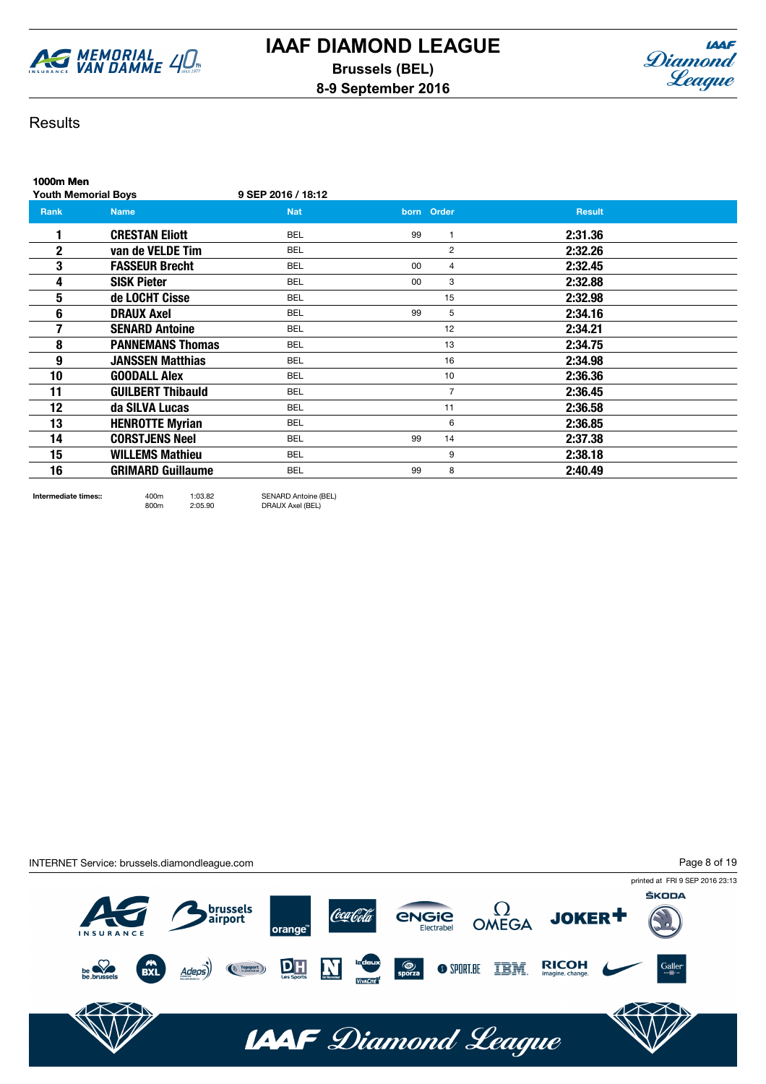



## **Results**

| <b>1000m Men</b><br><b>Youth Memorial Boys</b> |                          | 9 SEP 2016 / 18:12 |    |                |               |
|------------------------------------------------|--------------------------|--------------------|----|----------------|---------------|
| Rank                                           | <b>Name</b>              | <b>Nat</b>         |    | born Order     | <b>Result</b> |
|                                                | <b>CRESTAN Eliott</b>    | <b>BEL</b>         | 99 |                | 2:31.36       |
| $\mathbf 2$                                    | van de VELDE Tim         | <b>BEL</b>         |    | $\overline{2}$ | 2:32.26       |
| 3                                              | <b>FASSEUR Brecht</b>    | <b>BEL</b>         | 00 | $\overline{4}$ | 2:32.45       |
| 4                                              | <b>SISK Pieter</b>       | <b>BEL</b>         | 00 | 3              | 2:32.88       |
| 5                                              | de LOCHT Cisse           | <b>BEL</b>         |    | 15             | 2:32.98       |
| 6                                              | <b>DRAUX Axel</b>        | <b>BEL</b>         | 99 | 5              | 2:34.16       |
|                                                | <b>SENARD Antoine</b>    | <b>BEL</b>         |    | 12             | 2:34.21       |
| 8                                              | <b>PANNEMANS Thomas</b>  | <b>BEL</b>         |    | 13             | 2:34.75       |
| 9                                              | <b>JANSSEN Matthias</b>  | <b>BEL</b>         |    | 16             | 2:34.98       |
| 10                                             | <b>GOODALL Alex</b>      | <b>BEL</b>         |    | 10             | 2:36.36       |
| 11                                             | <b>GUILBERT Thibauld</b> | <b>BEL</b>         |    | $\overline{7}$ | 2:36.45       |
| 12                                             | da SILVA Lucas           | <b>BEL</b>         |    | 11             | 2:36.58       |
| 13                                             | <b>HENROTTE Myrian</b>   | <b>BEL</b>         |    | 6              | 2:36.85       |
| 14                                             | <b>CORSTJENS Neel</b>    | <b>BEL</b>         | 99 | 14             | 2:37.38       |
| 15                                             | <b>WILLEMS Mathieu</b>   | BEL                |    | 9              | 2:38.18       |
| 16                                             | <b>GRIMARD Guillaume</b> | <b>BEL</b>         | 99 | 8              | 2:40.49       |
|                                                |                          |                    |    |                |               |

Intermediate times:: 400m 1:03.82 SENARD Antoine (BEL) BER 8:05.90 DRAUX Axel (BEL)

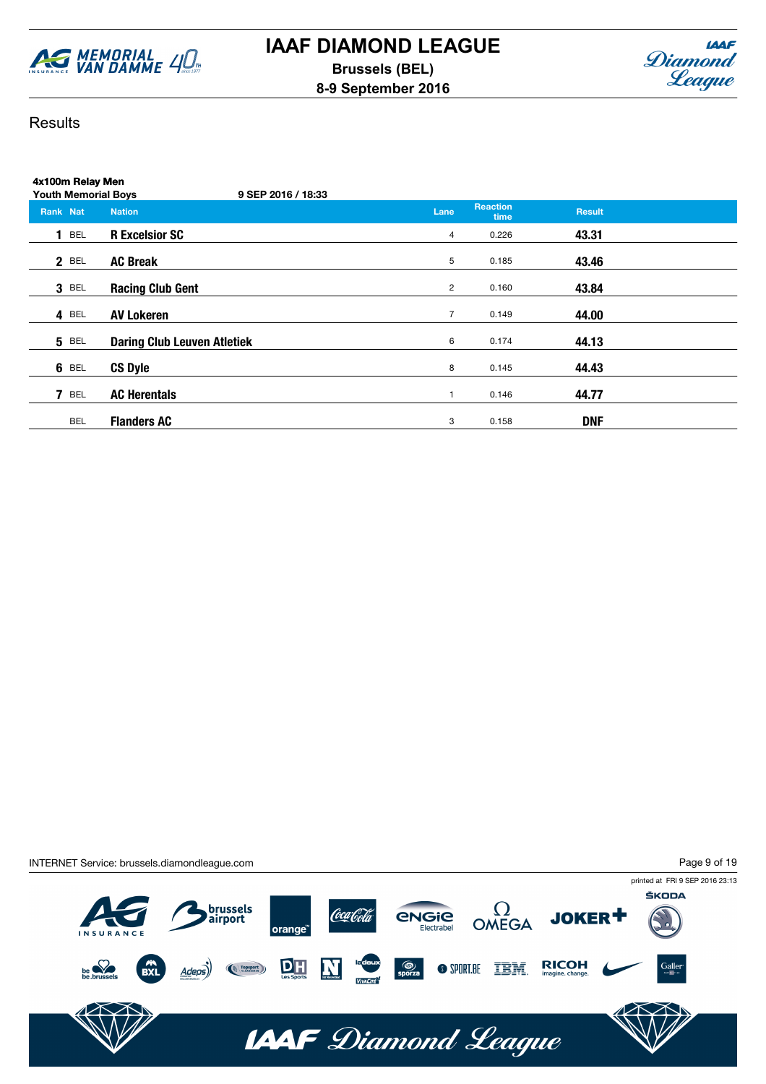



## **Results**

| 4x100m Relay Men<br><b>Youth Memorial Boys</b> | 9 SEP 2016 / 18:33                 |                |                         |               |  |
|------------------------------------------------|------------------------------------|----------------|-------------------------|---------------|--|
| Rank Nat                                       | <b>Nation</b>                      | Lane           | <b>Reaction</b><br>time | <b>Result</b> |  |
| <b>BEL</b>                                     | <b>R</b> Excelsior SC              | $\overline{4}$ | 0.226                   | 43.31         |  |
| $2$ BEL                                        | <b>AC Break</b>                    | 5              | 0.185                   | 43.46         |  |
| <b>3 BEL</b>                                   | <b>Racing Club Gent</b>            | $\overline{2}$ | 0.160                   | 43.84         |  |
| 4 BEL                                          | <b>AV Lokeren</b>                  | $\overline{7}$ | 0.149                   | 44.00         |  |
| <b>5</b> BEL                                   | <b>Daring Club Leuven Atletiek</b> | 6              | 0.174                   | 44.13         |  |
| 6 BEL                                          | <b>CS Dyle</b>                     | 8              | 0.145                   | 44.43         |  |
| 7<br>BEL                                       | <b>AC Herentals</b>                | 1              | 0.146                   | 44.77         |  |
| <b>BEL</b>                                     | <b>Flanders AC</b>                 | 3              | 0.158                   | <b>DNF</b>    |  |

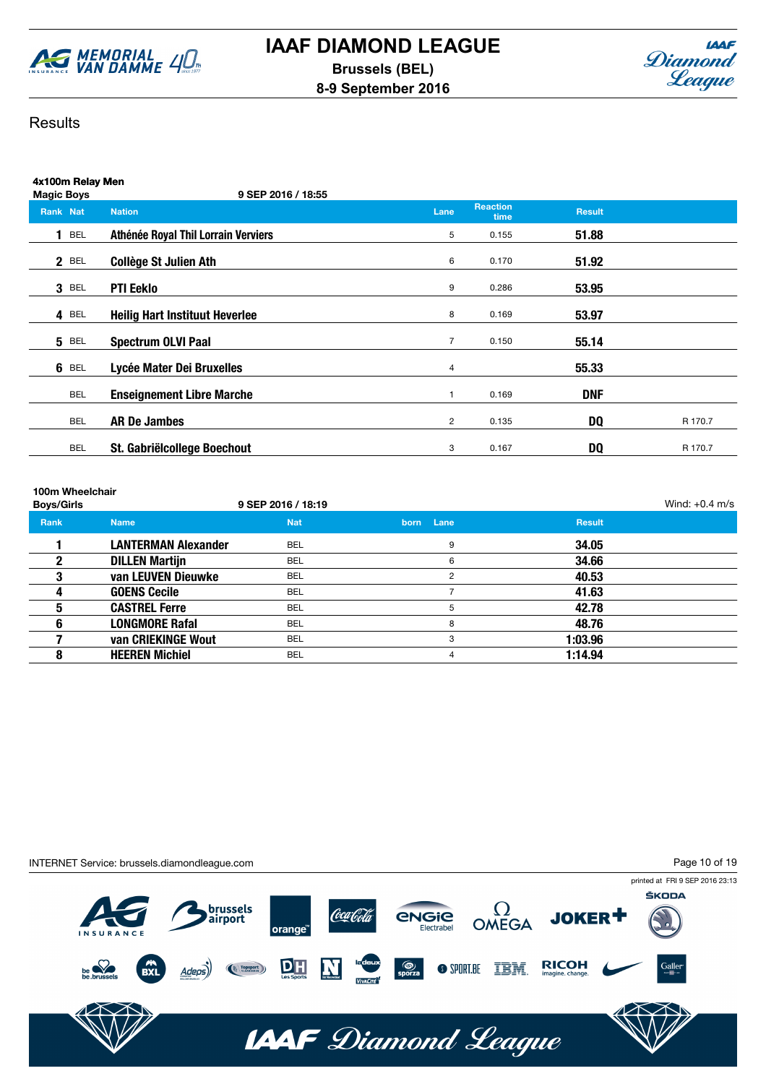



## **Results**

| 4x100m Relay Men<br><b>Magic Boys</b><br>9 SEP 2016 / 18:55 |                                       |                |                         |               |         |  |  |  |  |  |  |
|-------------------------------------------------------------|---------------------------------------|----------------|-------------------------|---------------|---------|--|--|--|--|--|--|
| Rank Nat                                                    | <b>Nation</b>                         | Lane           | <b>Reaction</b><br>time | <b>Result</b> |         |  |  |  |  |  |  |
| BEL                                                         | Athénée Royal Thil Lorrain Verviers   | 5              | 0.155                   | 51.88         |         |  |  |  |  |  |  |
| 2 BEL                                                       | <b>Collège St Julien Ath</b>          | 6              | 0.170                   | 51.92         |         |  |  |  |  |  |  |
| $3$ BEL                                                     | <b>PTI Eeklo</b>                      | 9              | 0.286                   | 53.95         |         |  |  |  |  |  |  |
| 4 BEL                                                       | <b>Heilig Hart Instituut Heverlee</b> | 8              | 0.169                   | 53.97         |         |  |  |  |  |  |  |
| <b>5</b> BEL                                                | <b>Spectrum OLVI Paal</b>             | $\overline{7}$ | 0.150                   | 55.14         |         |  |  |  |  |  |  |
| <b>6</b> BEL                                                | Lycée Mater Dei Bruxelles             | 4              |                         | 55.33         |         |  |  |  |  |  |  |
| <b>BEL</b>                                                  | <b>Enseignement Libre Marche</b>      |                | 0.169                   | <b>DNF</b>    |         |  |  |  |  |  |  |
| <b>BEL</b>                                                  | <b>AR De Jambes</b>                   | 2              | 0.135                   | DQ            | R 170.7 |  |  |  |  |  |  |
| <b>BEL</b>                                                  | St. Gabriëlcollege Boechout           | 3              | 0.167                   | DQ            | R 170.7 |  |  |  |  |  |  |

### 100m Wheelchair

| <b>Boys/Girls</b> |                            | 9 SEP 2016 / 18:19 |                |               | Wind: $+0.4$ m/s |
|-------------------|----------------------------|--------------------|----------------|---------------|------------------|
| <b>Rank</b>       | <b>Name</b>                | <b>Nat</b>         | born Lane      | <b>Result</b> |                  |
|                   | <b>LANTERMAN Alexander</b> | <b>BEL</b>         | 9              | 34.05         |                  |
|                   | <b>DILLEN Martijn</b>      | <b>BEL</b>         | 6              | 34.66         |                  |
|                   | van LEUVEN Dieuwke         | <b>BEL</b>         | $\mathfrak{p}$ | 40.53         |                  |
|                   | <b>GOENS Cecile</b>        | <b>BEL</b>         |                | 41.63         |                  |
|                   | <b>CASTREL Ferre</b>       | <b>BEL</b>         | 5              | 42.78         |                  |
|                   | <b>LONGMORE Rafal</b>      | <b>BEL</b>         | 8              | 48.76         |                  |
|                   | van CRIEKINGE Wout         | <b>BEL</b>         | 3              | 1:03.96       |                  |
|                   | <b>HEEREN Michiel</b>      | <b>BEL</b>         | 4              | 1:14.94       |                  |

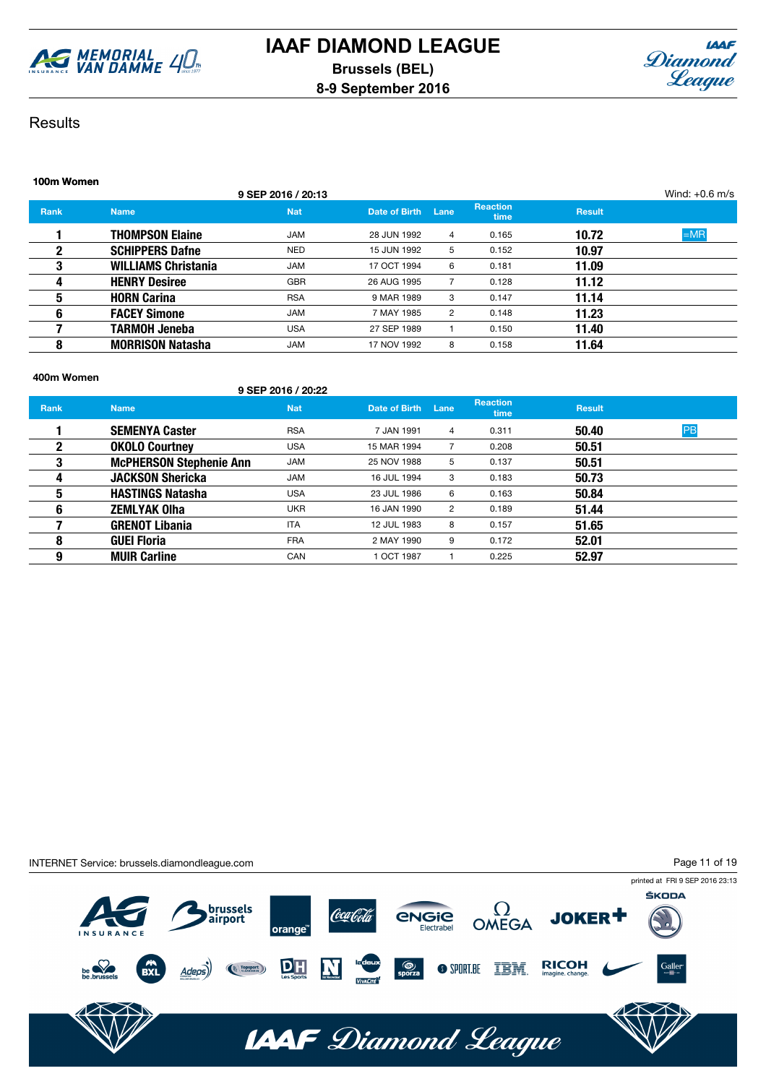



## **Results**

| 100m Women  |                            |                    |               |                |                         |               |                  |
|-------------|----------------------------|--------------------|---------------|----------------|-------------------------|---------------|------------------|
|             |                            | 9 SEP 2016 / 20:13 |               |                |                         |               | Wind: $+0.6$ m/s |
| <b>Rank</b> | <b>Name</b>                | <b>Nat</b>         | Date of Birth | Lane           | <b>Reaction</b><br>time | <b>Result</b> |                  |
|             | <b>THOMPSON Elaine</b>     | <b>JAM</b>         | 28 JUN 1992   | 4              | 0.165                   | 10.72         | $=MR$            |
| 2           | <b>SCHIPPERS Dafne</b>     | <b>NED</b>         | 15 JUN 1992   | 5              | 0.152                   | 10.97         |                  |
| 3           | <b>WILLIAMS Christania</b> | <b>JAM</b>         | 17 OCT 1994   | 6              | 0.181                   | 11.09         |                  |
| 4           | <b>HENRY Desiree</b>       | <b>GBR</b>         | 26 AUG 1995   |                | 0.128                   | 11.12         |                  |
| 5           | <b>HORN Carina</b>         | <b>RSA</b>         | 9 MAR 1989    | 3              | 0.147                   | 11.14         |                  |
| 6           | <b>FACEY Simone</b>        | <b>JAM</b>         | 7 MAY 1985    | $\overline{2}$ | 0.148                   | 11.23         |                  |
|             | TARMOH Jeneba              | <b>USA</b>         | 27 SEP 1989   |                | 0.150                   | 11.40         |                  |
| 8           | <b>MORRISON Natasha</b>    | <b>JAM</b>         | 17 NOV 1992   | 8              | 0.158                   | 11.64         |                  |

#### 400m Women

|              |                                | 9 SEP 2016 / 20:22 |               |                |                         |               |    |
|--------------|--------------------------------|--------------------|---------------|----------------|-------------------------|---------------|----|
| <b>Rank</b>  | <b>Name</b>                    | <b>Nat</b>         | Date of Birth | Lane           | <b>Reaction</b><br>time | <b>Result</b> |    |
|              | <b>SEMENYA Caster</b>          | <b>RSA</b>         | 7 JAN 1991    | 4              | 0.311                   | 50.40         | PB |
| $\mathbf{2}$ | <b>OKOLO Courtney</b>          | USA                | 15 MAR 1994   |                | 0.208                   | 50.51         |    |
| 3            | <b>McPHERSON Stephenie Ann</b> | <b>JAM</b>         | 25 NOV 1988   | 5              | 0.137                   | 50.51         |    |
| 4            | <b>JACKSON Shericka</b>        | JAM                | 16 JUL 1994   | 3              | 0.183                   | 50.73         |    |
| 5            | <b>HASTINGS Natasha</b>        | <b>USA</b>         | 23 JUL 1986   | 6              | 0.163                   | 50.84         |    |
| 6            | <b>ZEMLYAK Olha</b>            | <b>UKR</b>         | 16 JAN 1990   | $\overline{2}$ | 0.189                   | 51.44         |    |
|              | <b>GRENOT Libania</b>          | <b>ITA</b>         | 12 JUL 1983   | 8              | 0.157                   | 51.65         |    |
| 8            | <b>GUEI Floria</b>             | <b>FRA</b>         | 2 MAY 1990    | 9              | 0.172                   | 52.01         |    |
| 9            | <b>MUIR Carline</b>            | CAN                | 1 OCT 1987    |                | 0.225                   | 52.97         |    |

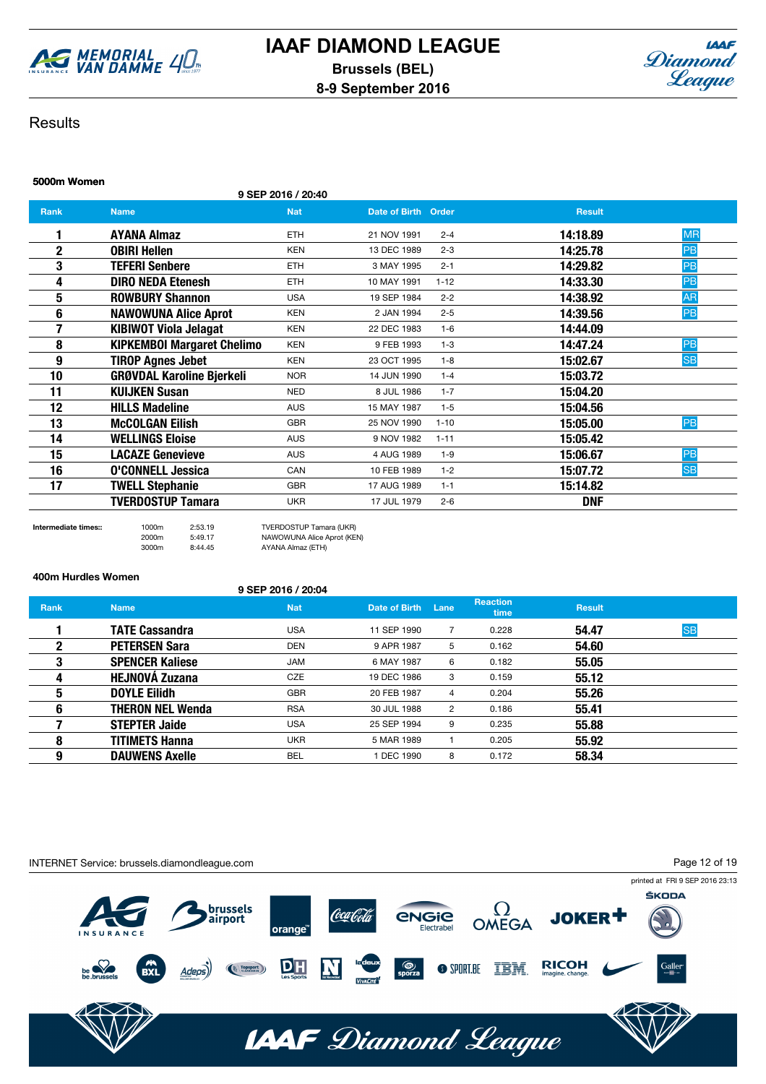



### **Results**

### 5000m Women 9 SEP 2016 / 20:40 **Rank Name Name Nat Date of Birth Order Result** Result 1 AYANA Almaz ETH 21 NOV 1991 2-4 14:18.89 MR **2 OBIRI Hellen** KEN 13 DEC 1989 2-3 **14:25.78** <mark>PB</mark> **3 TEFERI Senbere** ETH 3 MAY 1995 2-1 **14:29.82** PB **4** DIRO NEDA Etenesh ETH 10 MAY 1991 1-12 14:33.30 PB **5 ROWBURY Shannon** USA 19 SEP 1984 2-2 **14:38.92 AR 6 NAWOWUNA Alice Aprot** KEN 2 JAN 1994 2-5 **14:39.56 PB 7 KIBIWOT Viola Jelagat** KEN 22 DEC 1983 1-6 14:44.09 8 KIPKEMBOI Margaret Chelimo KEN 9 FEB 1993 1-3 14:47.24 14:47.24 **9 TIROP Agnes Jebet** KEN 23 OCT 1995 1-8 **15:02.67** SB 10 GRØVDAL Karoline Bjerkeli NOR 14 JUN 1990 1-4 15:03.72 11 KUIJKEN Susan NED 8 JUL 1986 1-7 15:04.20 12 **HILLS Madeline AUS 15 MAY 1987** 1-5 **15:04.56 13 McCOLGAN Eilish GBR** 25 NOV 1990 1-10 **15:05.00** PB 14 WELLINGS Eloise **AUS** AUS 9 NOV 1982 1-11 15:05.42 **15 LACAZE Genevieve** AUS 4 AUG 1989 1-9 **15:06.67 PB** 16 O'CONNELL Jessica CAN 10 FEB 1989 1-2 15:07.72 SB 17 TWELL Stephanie GBR 17 AUG 1989 1-1 15:14.82 **TVERDOSTUP Tamara** UKR 17 JUL 1979 2-6 **DNF**

3000m 8:44.45 AYANA Almaz (ETH)

Intermediate times:: 1000m 2:53.19 TVERDOSTUP Tamara (UKR) 2000m 5:49.17 NAWOWUNA Alice Aprot (KEN)

9 SEP 2016 / 20:04

#### 400m Hurdles Women

|             |                         | 30112727   |               |                |                                |               |           |
|-------------|-------------------------|------------|---------------|----------------|--------------------------------|---------------|-----------|
| <b>Rank</b> | <b>Name</b>             | <b>Nat</b> | Date of Birth | Lane           | <b>Reaction</b><br><b>time</b> | <b>Result</b> |           |
|             | <b>TATE Cassandra</b>   | <b>USA</b> | 11 SEP 1990   | 7              | 0.228                          | 54.47         | <b>SB</b> |
|             | <b>PETERSEN Sara</b>    | <b>DEN</b> | 9 APR 1987    | 5              | 0.162                          | 54.60         |           |
| 3           | <b>SPENCER Kaliese</b>  | <b>JAM</b> | 6 MAY 1987    | 6              | 0.182                          | 55.05         |           |
| 4           | <b>HEJNOVÁ Zuzana</b>   | <b>CZE</b> | 19 DEC 1986   | 3              | 0.159                          | 55.12         |           |
| 5           | <b>DOYLE Eilidh</b>     | <b>GBR</b> | 20 FEB 1987   | 4              | 0.204                          | 55.26         |           |
| 6           | <b>THERON NEL Wenda</b> | <b>RSA</b> | 30 JUL 1988   | $\overline{2}$ | 0.186                          | 55.41         |           |
|             | <b>STEPTER Jaide</b>    | USA        | 25 SEP 1994   | 9              | 0.235                          | 55.88         |           |
| 8           | <b>TITIMETS Hanna</b>   | <b>UKR</b> | 5 MAR 1989    |                | 0.205                          | 55.92         |           |
| 9           | <b>DAUWENS Axelle</b>   | <b>BEL</b> | 1 DEC 1990    | 8              | 0.172                          | 58.34         |           |
|             |                         |            |               |                |                                |               |           |

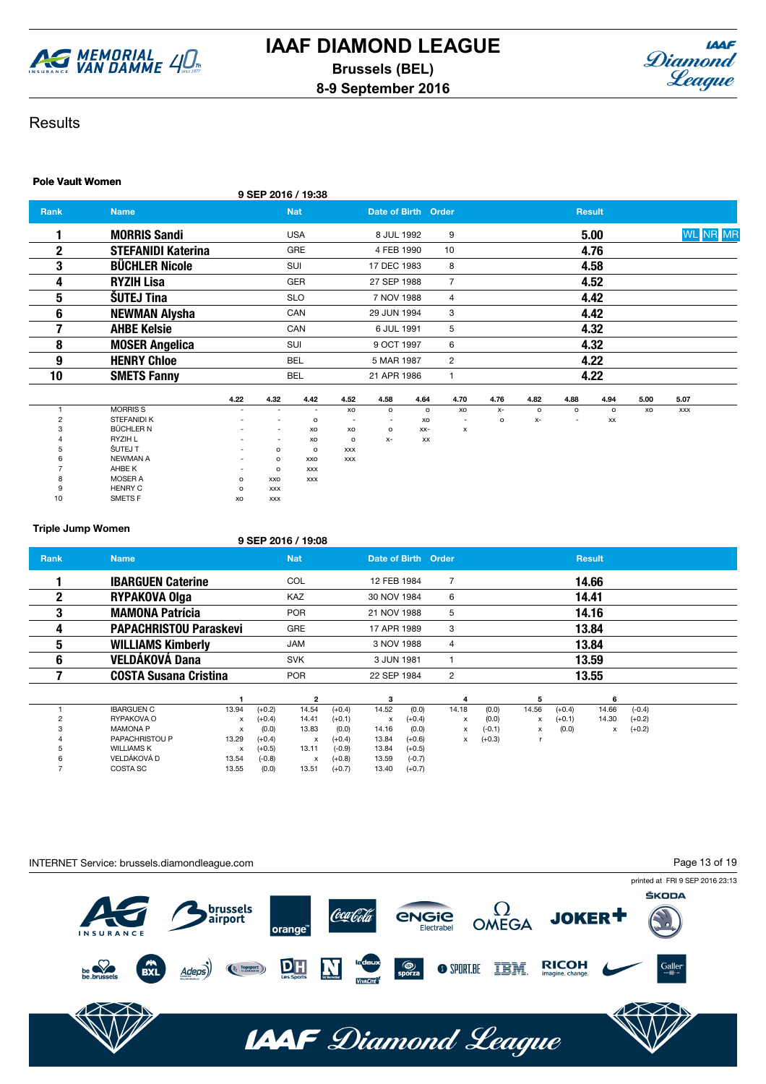



### **Results**

### Pole Vault Women

| <b>Rank</b>  | <b>Name</b>               |                |      | <b>Nat</b> |      | Date of Birth Order |         |                |      |         |         | <b>Result</b> |      |            |                 |
|--------------|---------------------------|----------------|------|------------|------|---------------------|---------|----------------|------|---------|---------|---------------|------|------------|-----------------|
|              | <b>MORRIS Sandi</b>       |                |      | <b>USA</b> |      | 8 JUL 1992          |         | 9              |      |         |         | 5.00          |      |            | <b>WL NR MR</b> |
| $\mathbf{2}$ | <b>STEFANIDI Katerina</b> |                |      | <b>GRE</b> |      | 4 FEB 1990          |         | 10             |      | 4.76    |         |               |      |            |                 |
| 3            | <b>BÜCHLER Nicole</b>     |                |      | SUI        |      | 17 DEC 1983         |         | 8              |      |         |         | 4.58          |      |            |                 |
| 4            | <b>RYZIH Lisa</b>         |                |      | <b>GER</b> |      | 27 SEP 1988         |         | 7              |      |         |         | 4.52          |      |            |                 |
| 5            | <b>ŠUTEJ Tina</b>         |                |      | <b>SLO</b> |      | 7 NOV 1988          |         | 4              |      | 4.42    |         |               |      |            |                 |
| 6            | <b>NEWMAN Alysha</b>      |                |      | CAN        |      | 29 JUN 1994         |         | 3              |      |         |         | 4.42          |      |            |                 |
|              | <b>AHBE Kelsie</b>        |                |      | CAN        |      | 6 JUL 1991          |         | 5              |      |         |         | 4.32          |      |            |                 |
| 8            | <b>MOSER Angelica</b>     |                |      | <b>SUI</b> |      | 9 OCT 1997          |         | 6              |      |         |         | 4.32          |      |            |                 |
| 9            | <b>HENRY Chloe</b>        |                |      | <b>BEL</b> |      | 5 MAR 1987          |         | $\overline{2}$ |      |         |         | 4.22          |      |            |                 |
| 10           | <b>SMETS Fanny</b>        |                |      | <b>BEL</b> |      | 21 APR 1986         |         |                |      | 4.22    |         |               |      |            |                 |
|              |                           | 4.22           | 4.32 | 4.42       | 4.52 | 4.58                | 4.64    | 4.70           | 4.76 | 4.82    | 4.88    | 4.94          | 5.00 | 5.07       |                 |
|              | <b>MORRISS</b>            | $\overline{a}$ |      |            | XO   | о                   | $\circ$ | XO             | х-   | $\circ$ | $\circ$ | $\circ$       | XO   | <b>XXX</b> |                 |

|               | <b>MORRISS</b>     |                          | -          |            | XO                       | $\circ$ | $\circ$ | XO                        | $X-$ | $\circ$ | $\circ$ | C  |
|---------------|--------------------|--------------------------|------------|------------|--------------------------|---------|---------|---------------------------|------|---------|---------|----|
| ◠<br><u>.</u> | <b>STEFANIDI K</b> | $\overline{\phantom{a}}$ |            | $\circ$    | $\overline{\phantom{a}}$ |         | XO      | ۰                         | o    | х-      | -       | XX |
| 3             | BÜCHLER N          | $\overline{\phantom{0}}$ |            | XO         | XO                       | $\circ$ | $XX-$   | $\boldsymbol{\mathsf{x}}$ |      |         |         |    |
| 4             | <b>RYZIH L</b>     |                          |            | XO         | o                        | х-      | XX      |                           |      |         |         |    |
| $\mathbf b$   | ŠUTEJ T            | $\overline{\phantom{0}}$ | o          | $\circ$    | XXX                      |         |         |                           |      |         |         |    |
| 6             | NEWMAN A           |                          | $\circ$    | XXO        | XXX                      |         |         |                           |      |         |         |    |
|               | AHBE K             | $\overline{\phantom{a}}$ | $\circ$    | <b>XXX</b> |                          |         |         |                           |      |         |         |    |
| 8             | MOSER A            | $\circ$                  | XXO        | XXX        |                          |         |         |                           |      |         |         |    |
| 9             | <b>HENRY C</b>     | $\circ$                  | XXX        |            |                          |         |         |                           |      |         |         |    |
| 10            | SMETS F            | XO                       | <b>XXX</b> |            |                          |         |         |                           |      |         |         |    |
|               |                    |                          |            |            |                          |         |         |                           |      |         |         |    |

### Triple Jump Women

|              | 9 SEP 2016 / 19:08            |       |          |                |          |                     |          |                |          |       |          |               |          |  |  |
|--------------|-------------------------------|-------|----------|----------------|----------|---------------------|----------|----------------|----------|-------|----------|---------------|----------|--|--|
| <b>Rank</b>  | <b>Name</b>                   |       |          | <b>Nat</b>     |          | Date of Birth Order |          |                |          |       |          | <b>Result</b> |          |  |  |
|              | <b>IBARGUEN Caterine</b>      |       |          | <b>COL</b>     |          | 12 FEB 1984         |          | 7              |          |       |          | 14.66         |          |  |  |
| $\mathbf{2}$ | <b>RYPAKOVA Olga</b>          |       |          | <b>KAZ</b>     |          | 30 NOV 1984         |          | 6              |          |       |          | 14.41         |          |  |  |
| 3            | <b>MAMONA Patrícia</b>        |       |          | <b>POR</b>     |          | 21 NOV 1988         |          | 5              |          |       |          | 14.16         |          |  |  |
| 4            | <b>PAPACHRISTOU Paraskevi</b> |       |          | <b>GRE</b>     |          | 17 APR 1989         |          | 3              |          |       |          | 13.84         |          |  |  |
| 5            | <b>WILLIAMS Kimberly</b>      |       |          | <b>JAM</b>     |          | 3 NOV 1988          |          | $\overline{4}$ |          |       |          | 13.84         |          |  |  |
| 6            | <b>VELDÁKOVÁ Dana</b>         |       |          | <b>SVK</b>     |          | 3 JUN 1981          |          |                |          |       |          | 13.59         |          |  |  |
|              | <b>COSTA Susana Cristina</b>  |       |          | <b>POR</b>     |          | 22 SEP 1984         |          | $\overline{2}$ |          |       |          | 13.55         |          |  |  |
|              |                               |       |          | $\overline{2}$ |          | 3                   |          | 4              |          | 5     |          | 6             |          |  |  |
|              | <b>IBARGUEN C</b>             | 13.94 | $(+0.2)$ | 14.54          | $(+0.4)$ | 14.52               | (0.0)    | 14.18          | (0.0)    | 14.56 | $(+0.4)$ | 14.66         | $(-0.4)$ |  |  |
|              | RYPAKOVA O                    | х     | $(+0.4)$ | 14.41          | $(+0.1)$ | х                   | $(+0.4)$ | х              | (0.0)    | x     | $(+0.1)$ | 14.30         | $(+0.2)$ |  |  |
| 3            | <b>MAMONA P</b>               | x     | (0.0)    | 13.83          | (0.0)    | 14.16               | (0.0)    | x              | $(-0.1)$ | x     | (0.0)    | x             | $(+0.2)$ |  |  |
|              | PAPACHRISTOU P                | 13.29 | $(+0.4)$ | x              | $(+0.4)$ | 13.84               | $(+0.6)$ | $\times$       | $(+0.3)$ |       |          |               |          |  |  |
|              | <b>WILLIAMS K</b>             | х     | $(+0.5)$ | 13.11          | $(-0.9)$ | 13.84               | $(+0.5)$ |                |          |       |          |               |          |  |  |
|              | VELDÁKOVÁ D                   | 13.54 | $(-0.8)$ | x              | $(+0.8)$ | 13.59               | $(-0.7)$ |                |          |       |          |               |          |  |  |
|              | COSTA SC                      | 13.55 | (0.0)    | 13.51          | $(+0.7)$ | 13.40               | $(+0.7)$ |                |          |       |          |               |          |  |  |

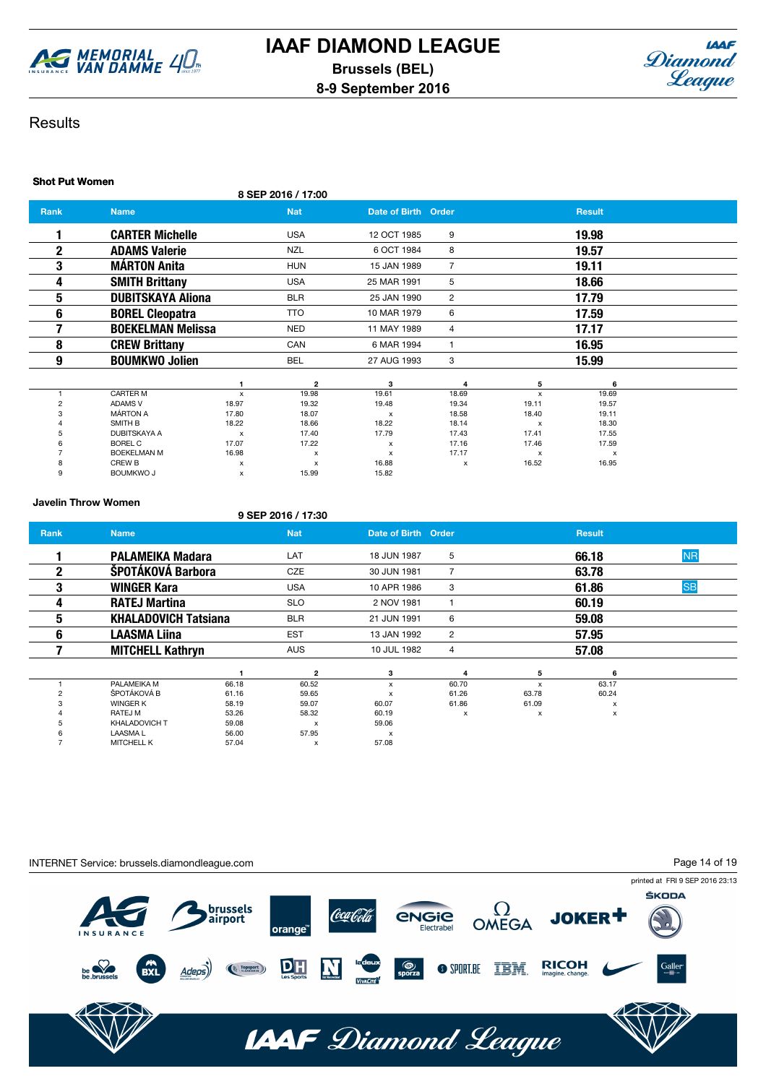



### **Results**

### Shot Put Women

8 SEP 2016 / 17:00

| <b>Rank</b>    | <b>Name</b>              |              | <b>Nat</b> | Date of Birth Order       |                |              | <b>Result</b> |  |
|----------------|--------------------------|--------------|------------|---------------------------|----------------|--------------|---------------|--|
|                | <b>CARTER Michelle</b>   |              | <b>USA</b> | 12 OCT 1985               | 9              |              | 19.98         |  |
| $\mathbf{2}$   | <b>ADAMS Valerie</b>     |              | <b>NZL</b> | 6 OCT 1984                | 8              |              | 19.57         |  |
| 3              | <b>MÁRTON Anita</b>      |              | <b>HUN</b> | 15 JAN 1989               | $\overline{7}$ |              | 19.11         |  |
| 4              | <b>SMITH Brittany</b>    |              | <b>USA</b> | 25 MAR 1991               | 5              |              | 18.66         |  |
| 5              | <b>DUBITSKAYA Aliona</b> |              | <b>BLR</b> | 25 JAN 1990               | $\overline{2}$ |              | 17.79         |  |
| 6              | <b>BOREL Cleopatra</b>   |              | <b>TTO</b> | 10 MAR 1979               | 6              |              | 17.59         |  |
|                | <b>BOEKELMAN Melissa</b> |              | <b>NED</b> | 11 MAY 1989               | $\overline{4}$ |              | 17.17         |  |
| 8              | <b>CREW Brittany</b>     |              | CAN        | 6 MAR 1994                | 1              |              | 16.95         |  |
| 9              | <b>BOUMKWO Jolien</b>    |              | <b>BEL</b> | 27 AUG 1993               | 3              |              | 15.99         |  |
|                |                          |              | 2          | 3                         | 4              | 5            | 6             |  |
|                | <b>CARTER M</b>          | $\mathsf{x}$ | 19.98      | 19.61                     | 18.69          | X            | 19.69         |  |
| $\overline{c}$ | <b>ADAMS V</b>           | 18.97        | 19.32      | 19.48                     | 19.34          | 19.11        | 19.57         |  |
|                | <b>MÁRTON A</b>          | 17.80        | 18.07      | $\boldsymbol{\mathsf{x}}$ | 18.58          | 18.40        | 19.11         |  |
|                | SMITH B                  | 18.22        | 18.66      | 18.22                     | 18.14          | $\mathsf{x}$ | 18.30         |  |
|                | <b>DUBITSKAYA A</b>      | х            | 17.40      | 17.79                     | 17.43          | 17.41        | 17.55         |  |
|                | <b>BOREL C</b>           | 17.07        | 17.22      | x                         | 17.16          | 17.46        | 17.59         |  |
|                | <b>BOEKELMAN M</b>       | 16.98        | x          | $\boldsymbol{\mathsf{x}}$ | 17.17          | x            | x             |  |
|                | CREW B                   | x            | X          | 16.88                     | x              | 16.52        | 16.95         |  |
| 9              | <b>BOUMKWO J</b>         | x            | 15.99      | 15.82                     |                |              |               |  |

#### Javelin Throw Women

#### 9 SEP 2016 / 17:30

| <b>Rank</b> | <b>Name</b>                 |       | <b>Nat</b>                | Date of Birth Order       |                |       | <b>Result</b> |           |
|-------------|-----------------------------|-------|---------------------------|---------------------------|----------------|-------|---------------|-----------|
|             | <b>PALAMEIKA Madara</b>     |       | LAT                       | 18 JUN 1987               | 5              |       | 66.18         | <b>NR</b> |
| 2           | ŠPOTÁKOVÁ Barbora           |       | <b>CZE</b>                | 30 JUN 1981               |                |       | 63.78         |           |
| 3           | <b>WINGER Kara</b>          |       | <b>USA</b>                | 10 APR 1986               | 3              |       | 61.86         | <b>SB</b> |
| 4           | <b>RATEJ Martina</b>        |       | <b>SLO</b>                | 2 NOV 1981                |                |       | 60.19         |           |
| 5           | <b>KHALADOVICH Tatsiana</b> |       | <b>BLR</b>                | 21 JUN 1991               | 6              |       | 59.08         |           |
| 6           | <b>LAASMA Liina</b>         |       | <b>EST</b>                | 13 JAN 1992               | $\overline{2}$ |       | 57.95         |           |
|             | <b>MITCHELL Kathryn</b>     |       | <b>AUS</b>                | 10 JUL 1982               | 4              |       | 57.08         |           |
|             |                             |       | $\overline{2}$            | 3                         | 4              | 5     | 6             |           |
|             | PALAMEIKA M                 | 66.18 | 60.52                     | $\mathsf{x}$              | 60.70          | x     | 63.17         |           |
|             | ŠPOTÁKOVÁ B                 | 61.16 | 59.65                     | $\boldsymbol{\mathsf{x}}$ | 61.26          | 63.78 | 60.24         |           |
|             | <b>WINGER K</b>             | 58.19 | 59.07                     | 60.07                     | 61.86          | 61.09 | x             |           |
|             | RATEJ M                     | 53.26 | 58.32                     | 60.19                     | х              | х     | x             |           |
|             | <b>KHALADOVICH T</b>        | 59.08 | X                         | 59.06                     |                |       |               |           |
|             | <b>LAASMAL</b>              | 56.00 | 57.95                     | $\boldsymbol{\mathsf{x}}$ |                |       |               |           |
|             | <b>MITCHELL K</b>           | 57.04 | $\boldsymbol{\mathsf{x}}$ | 57.08                     |                |       |               |           |

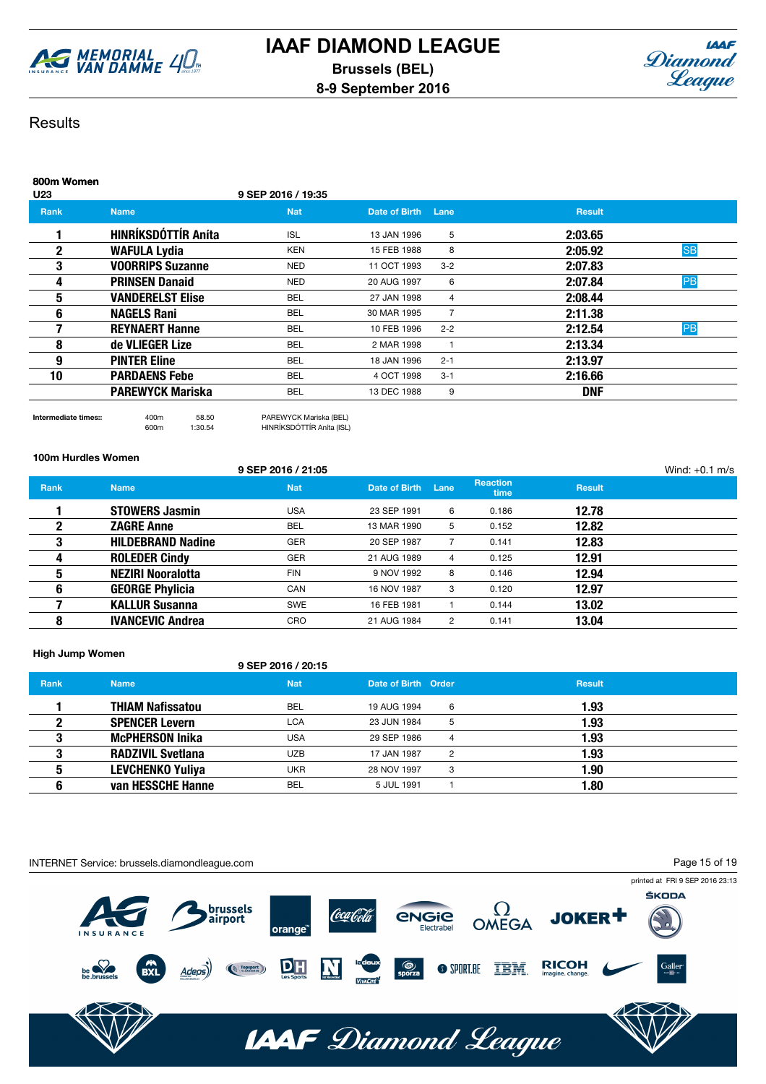



## **Results**

| 800m Women<br>U <sub>23</sub> |                            | 9 SEP 2016 / 19:35 |               |                |               |           |
|-------------------------------|----------------------------|--------------------|---------------|----------------|---------------|-----------|
| <b>Rank</b>                   | <b>Name</b>                | <b>Nat</b>         | Date of Birth | Lane           | <b>Result</b> |           |
|                               | <b>HINRÍKSDÓTTÍR Aníta</b> | <b>ISL</b>         | 13 JAN 1996   | 5              | 2:03.65       |           |
| 2                             | <b>WAFULA Lydia</b>        | <b>KEN</b>         | 15 FEB 1988   | 8              | 2:05.92       | <b>SB</b> |
| 3                             | <b>VOORRIPS Suzanne</b>    | <b>NED</b>         | 11 OCT 1993   | $3 - 2$        | 2:07.83       |           |
| 4                             | <b>PRINSEN Danaid</b>      | <b>NED</b>         | 20 AUG 1997   | 6              | 2:07.84       | <b>PB</b> |
| 5                             | <b>VANDERELST Elise</b>    | <b>BEL</b>         | 27 JAN 1998   | 4              | 2:08.44       |           |
| 6                             | <b>NAGELS Rani</b>         | <b>BEL</b>         | 30 MAR 1995   | $\overline{7}$ | 2:11.38       |           |
|                               | <b>REYNAERT Hanne</b>      | <b>BEL</b>         | 10 FEB 1996   | $2 - 2$        | 2:12.54       | PB        |
| 8                             | de VLIEGER Lize            | <b>BEL</b>         | 2 MAR 1998    | $\mathbf{1}$   | 2:13.34       |           |
| 9                             | <b>PINTER Eline</b>        | <b>BEL</b>         | 18 JAN 1996   | $2 - 1$        | 2:13.97       |           |
| 10                            | <b>PARDAENS Febe</b>       | <b>BEL</b>         | 4 OCT 1998    | $3 - 1$        | 2:16.66       |           |
|                               | <b>PAREWYCK Mariska</b>    | BEL                | 13 DEC 1988   | 9              | <b>DNF</b>    |           |
|                               |                            |                    |               |                |               |           |

#### 100m Hurdles Women

#### 9 SEP 2016 / 21:05 Wind: +0.1 m/s

HINRÍKSDÓTTÍR Aníta (ISL)

Intermediate times:: 400m 58.50 PAREWYCK Mariska (BEL)

| <b>Rank</b> | <b>Name</b>              | <b>Nat</b> | Date of Birth | Lane           | <b>Reaction</b><br>time | <b>Result</b> |  |
|-------------|--------------------------|------------|---------------|----------------|-------------------------|---------------|--|
|             | <b>STOWERS Jasmin</b>    | <b>USA</b> | 23 SEP 1991   | 6              | 0.186                   | 12.78         |  |
|             | <b>ZAGRE Anne</b>        | <b>BEL</b> | 13 MAR 1990   | 5              | 0.152                   | 12.82         |  |
| 3           | <b>HILDEBRAND Nadine</b> | <b>GER</b> | 20 SEP 1987   |                | 0.141                   | 12.83         |  |
| 4           | <b>ROLEDER Cindy</b>     | <b>GER</b> | 21 AUG 1989   | 4              | 0.125                   | 12.91         |  |
| 5           | <b>NEZIRI Nooralotta</b> | <b>FIN</b> | 9 NOV 1992    | 8              | 0.146                   | 12.94         |  |
| 6           | <b>GEORGE Phylicia</b>   | <b>CAN</b> | 16 NOV 1987   | 3              | 0.120                   | 12.97         |  |
|             | <b>KALLUR Susanna</b>    | SWE        | 16 FEB 1981   |                | 0.144                   | 13.02         |  |
| 8           | <b>IVANCEVIC Andrea</b>  | CRO        | 21 AUG 1984   | $\overline{2}$ | 0.141                   | 13.04         |  |

#### High Jump Women

#### 9 SEP 2016 / 20:15

| <b>Rank</b> | <b>Name</b>              | <b>Nat</b> | Date of Birth Order           | <b>Result</b> |
|-------------|--------------------------|------------|-------------------------------|---------------|
|             | <b>THIAM Nafissatou</b>  | BEL        | 19 AUG 1994<br>6              | l.93          |
|             | <b>SPENCER Levern</b>    | <b>LCA</b> | 23 JUN 1984<br>5              | l 93          |
|             | <b>McPHERSON Inika</b>   | <b>USA</b> | 29 SEP 1986<br>$\overline{4}$ | l.93          |
|             | <b>RADZIVIL Svetlana</b> | UZB        | 17 JAN 1987<br>2              | l 93          |
| 5           | <b>LEVCHENKO Yuliya</b>  | <b>UKR</b> | 28 NOV 1997<br>3              | .90           |
|             | van HESSCHE Hanne        | <b>BEL</b> | 5 JUL 1991                    | .80           |

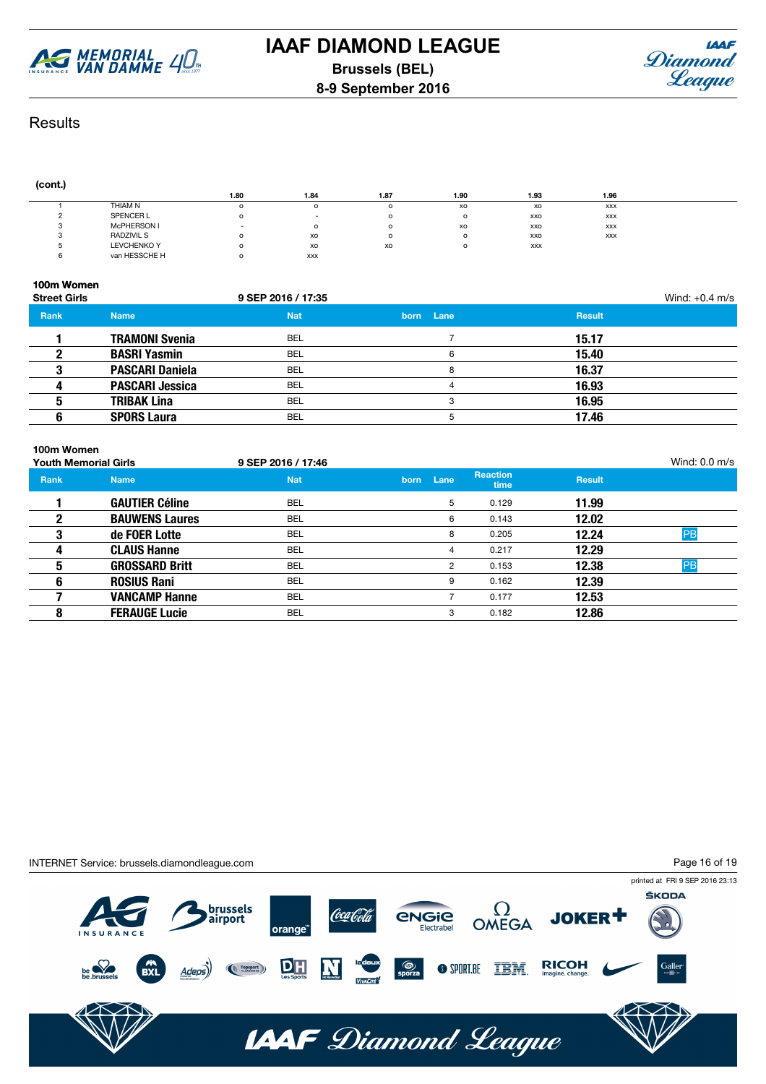

# **IAAF DIAMOND LEAGUE Brussels (BEL)**

**8-9 September 2016**



## **Results**

#### (cont.) 1.80 1.84 1.87 1.90 1.93 1.96 1 THIAM N o o o o xo xo xxx 2 SPENCER L o - o o xxo xxx 3 McPHERSON I - o o xo xxo xxx 3 RADZIVIL S o xo o o xxo xxx 5 LEVCHENKO Y o xo xo o xxx 6 van HESSCHE H o xxx

#### 100m Women

| <b>Street Girls</b> |                        | 9 SEP 2016 / 17:35 |           |               | Wind: $+0.4$ m/s |
|---------------------|------------------------|--------------------|-----------|---------------|------------------|
| Rank                | <b>Name</b>            | <b>Nat</b>         | born Lane | <b>Result</b> |                  |
|                     | <b>TRAMONI Svenia</b>  | BEL                |           | 15.17         |                  |
|                     | <b>BASRI Yasmin</b>    | BEL                | 6         | 15.40         |                  |
|                     | <b>PASCARI Daniela</b> | <b>BEL</b>         | 8         | 16.37         |                  |
|                     | <b>PASCARI Jessica</b> | <b>BEL</b>         | 4         | 16.93         |                  |
|                     | <b>TRIBAK Lina</b>     | <b>BEL</b>         | 3         | 16.95         |                  |
|                     | <b>SPORS Laura</b>     | <b>BEL</b>         | 5         | 17.46         |                  |

### 100m Women

| <b>Youth Memorial Girls</b> | 9 SEP 2016 / 17:46 |      |                |                         |               | Wind: $0.0 \text{ m/s}$ |
|-----------------------------|--------------------|------|----------------|-------------------------|---------------|-------------------------|
| <b>Name</b>                 | <b>Nat</b>         | born |                | <b>Reaction</b><br>time | <b>Result</b> |                         |
| <b>GAUTIER Céline</b>       | BEL                |      | 5              | 0.129                   | 11.99         |                         |
| <b>BAUWENS Laures</b>       | <b>BEL</b>         |      | 6              | 0.143                   | 12.02         |                         |
| de FOER Lotte               | BEL                |      | 8              | 0.205                   | 12.24         | PB                      |
| <b>CLAUS Hanne</b>          | <b>BEL</b>         |      | 4              | 0.217                   | 12.29         |                         |
| <b>GROSSARD Britt</b>       | <b>BEL</b>         |      | $\overline{2}$ | 0.153                   | 12.38         | PB                      |
| <b>ROSIUS Rani</b>          | <b>BEL</b>         |      | 9              | 0.162                   | 12.39         |                         |
| <b>VANCAMP Hanne</b>        | <b>BEL</b>         |      |                | 0.177                   | 12.53         |                         |
| <b>FERAUGE Lucie</b>        | BEL                |      | 3              | 0.182                   | 12.86         |                         |
|                             |                    |      |                | Lane                    |               |                         |

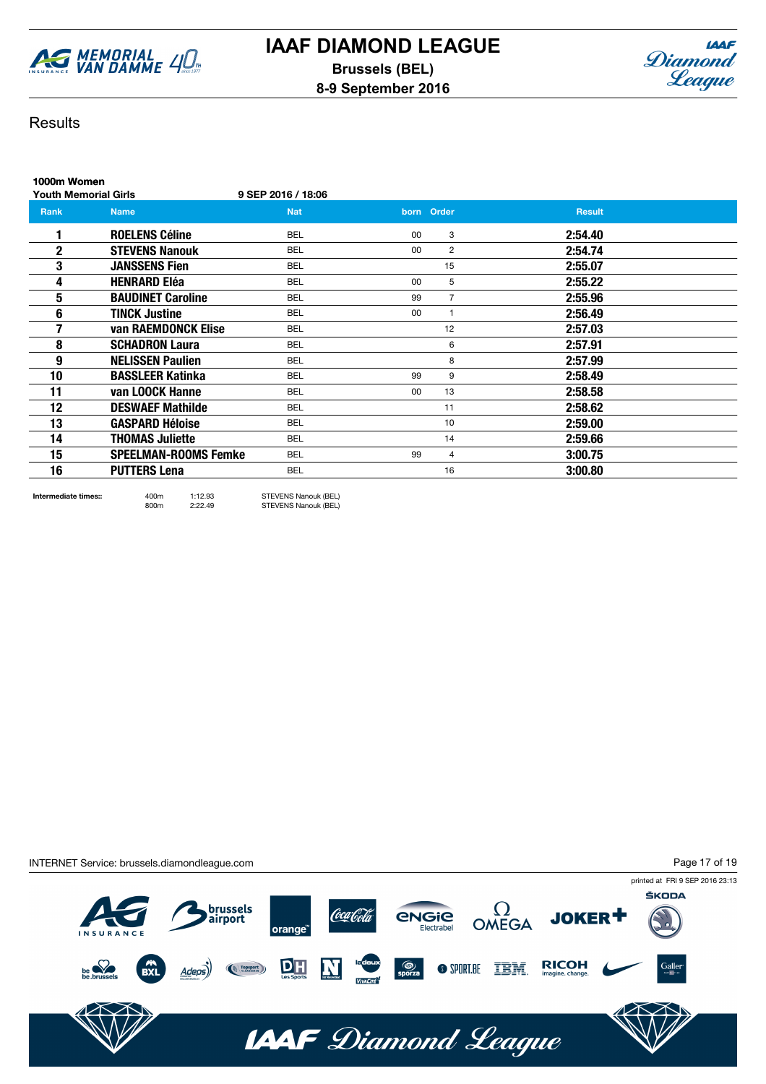



## **Results**

| 1000m Women                 |                             |                    |    |                |               |
|-----------------------------|-----------------------------|--------------------|----|----------------|---------------|
| <b>Youth Memorial Girls</b> |                             | 9 SEP 2016 / 18:06 |    |                |               |
| Rank                        | <b>Name</b>                 | <b>Nat</b>         |    | born Order     | <b>Result</b> |
|                             | <b>ROELENS Céline</b>       | <b>BEL</b>         | 00 | 3              | 2:54.40       |
| 2                           | <b>STEVENS Nanouk</b>       | <b>BEL</b>         | 00 | $\overline{2}$ | 2:54.74       |
| 3                           | <b>JANSSENS Fien</b>        | <b>BEL</b>         |    | 15             | 2:55.07       |
| 4                           | <b>HENRARD Eléa</b>         | <b>BEL</b>         | 00 | 5              | 2:55.22       |
| 5                           | <b>BAUDINET Caroline</b>    | <b>BEL</b>         | 99 | $\overline{7}$ | 2:55.96       |
| 6                           | <b>TINCK Justine</b>        | <b>BEL</b>         | 00 | 1              | 2:56.49       |
|                             | van RAEMDONCK Elise         | <b>BEL</b>         |    | 12             | 2:57.03       |
| 8                           | <b>SCHADRON Laura</b>       | <b>BEL</b>         |    | 6              | 2:57.91       |
| 9                           | <b>NELISSEN Paulien</b>     | <b>BEL</b>         |    | 8              | 2:57.99       |
| 10                          | <b>BASSLEER Katinka</b>     | <b>BEL</b>         | 99 | 9              | 2:58.49       |
| 11                          | van LOOCK Hanne             | <b>BEL</b>         | 00 | 13             | 2:58.58       |
| 12                          | <b>DESWAEF Mathilde</b>     | <b>BEL</b>         |    | 11             | 2:58.62       |
| 13                          | <b>GASPARD Héloise</b>      | <b>BEL</b>         |    | 10             | 2:59.00       |
| 14                          | <b>THOMAS Juliette</b>      | <b>BEL</b>         |    | 14             | 2:59.66       |
| 15                          | <b>SPEELMAN-ROOMS Femke</b> | <b>BEL</b>         | 99 | $\overline{4}$ | 3:00.75       |
| 16                          | <b>PUTTERS Lena</b>         | <b>BEL</b>         |    | 16             | 3:00.80       |
|                             |                             |                    |    |                |               |

Intermediate times:: 400m 1:12.93 STEVENS Nanouk (BEL) STEVENS Nanouk (BEL)

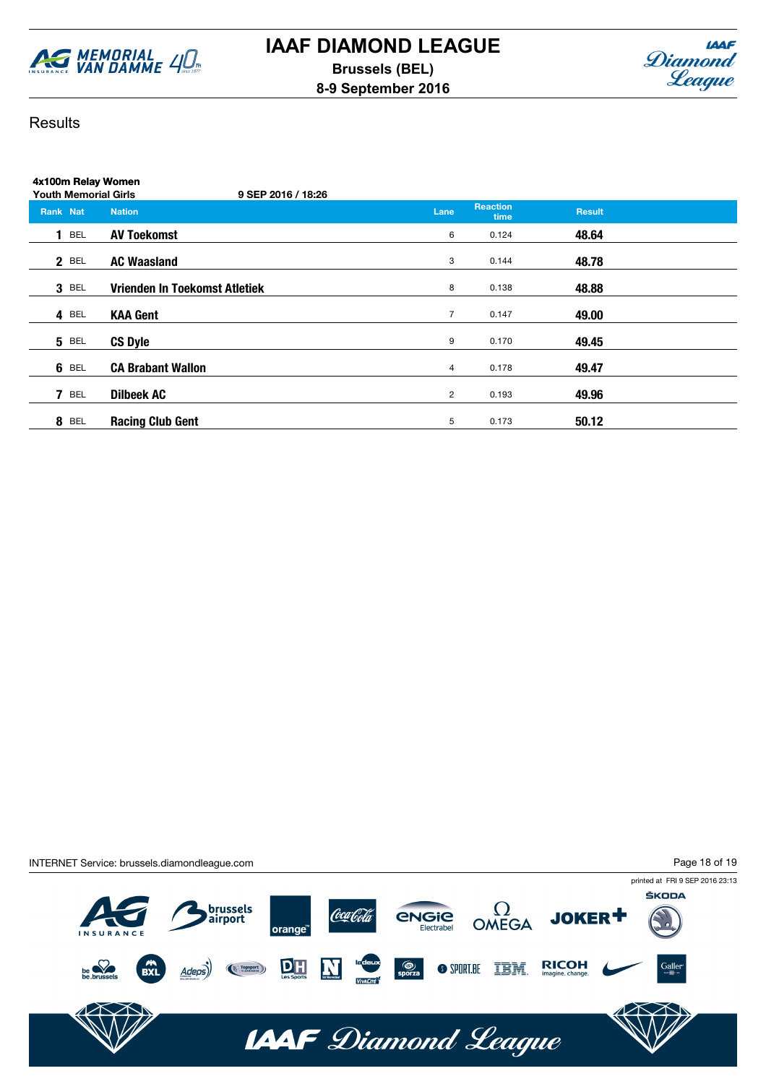



## **Results**

|                 | 4x100m Relay Women<br><b>Youth Memorial Girls</b><br>9 SEP 2016 / 18:26 |                               |                |                         |               |  |  |  |  |  |  |
|-----------------|-------------------------------------------------------------------------|-------------------------------|----------------|-------------------------|---------------|--|--|--|--|--|--|
| Rank Nat        |                                                                         | <b>Nation</b>                 | Lane           | <b>Reaction</b><br>time | <b>Result</b> |  |  |  |  |  |  |
| <b>BEL</b>      |                                                                         | <b>AV Toekomst</b>            | 6              | 0.124                   | 48.64         |  |  |  |  |  |  |
| 2 BEL           |                                                                         | <b>AC Waasland</b>            | 3              | 0.144                   | 48.78         |  |  |  |  |  |  |
| 3 BEL           |                                                                         | Vrienden In Toekomst Atletiek | 8              | 0.138                   | 48.88         |  |  |  |  |  |  |
| 4 BEL           |                                                                         | <b>KAA Gent</b>               | $\overline{7}$ | 0.147                   | 49.00         |  |  |  |  |  |  |
| 5 BEL           |                                                                         | <b>CS Dyle</b>                | 9              | 0.170                   | 49.45         |  |  |  |  |  |  |
| 6 BEL           |                                                                         | <b>CA Brabant Wallon</b>      | $\overline{4}$ | 0.178                   | 49.47         |  |  |  |  |  |  |
| 7<br><b>BEL</b> |                                                                         | <b>Dilbeek AC</b>             | $\overline{2}$ | 0.193                   | 49.96         |  |  |  |  |  |  |
| 8<br>BEL        |                                                                         | <b>Racing Club Gent</b>       | 5              | 0.173                   | 50.12         |  |  |  |  |  |  |